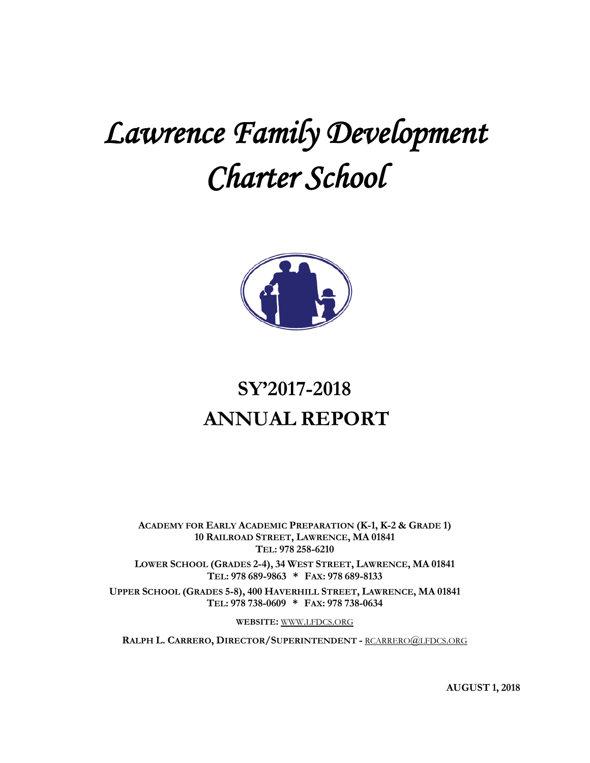# *Lawrence Family Development Charter School*



# **SY'2017-2018 ANNUAL REPORT**

**ACADEMY FOR EARLY ACADEMIC PREPARATION (K-1, K-2 & GRADE 1) 10 RAILROAD STREET, LAWRENCE, MA 01841 TEL: 978 258-6210**

**LOWER SCHOOL (GRADES 2-4), 34 WEST STREET, LAWRENCE, MA 01841 TEL: 978 689-9863 \* FAX: 978 689-8133**

**UPPER SCHOOL (GRADES 5-8), 400 HAVERHILL STREET, LAWRENCE, MA 01841 TEL: 978 738-0609 \* FAX: 978 738-0634**

**WEBSITE:** [WWW.LFDCS.ORG](http://www.lfdcs.org/)

**RALPH L. CARRERO, DIRECTOR/SUPERINTENDENT -** [RCARRERO@LFDCS.ORG](mailto:rcarrero@lfdcs.org)

**AUGUST 1, 2018**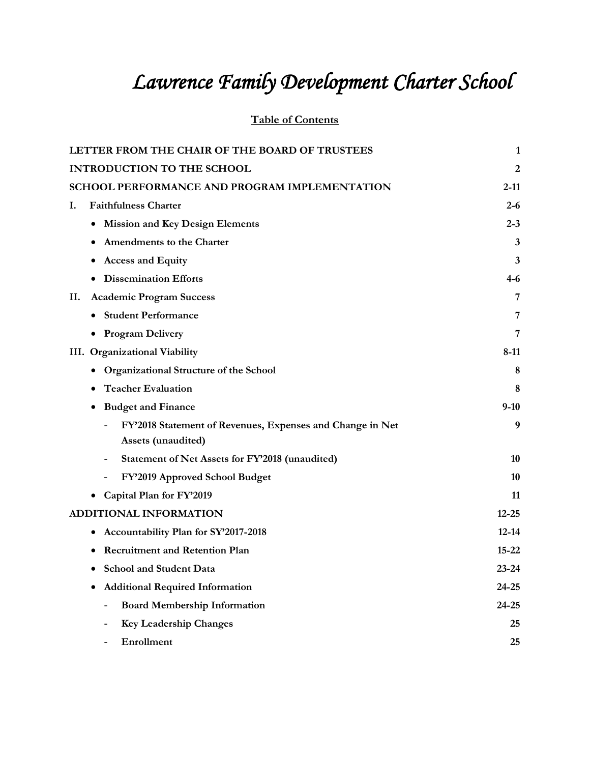# *Lawrence Family Development Charter School*

# **Table of Contents**

| LETTER FROM THE CHAIR OF THE BOARD OF TRUSTEES                  | 1         |
|-----------------------------------------------------------------|-----------|
| <b>INTRODUCTION TO THE SCHOOL</b>                               | 2         |
| SCHOOL PERFORMANCE AND PROGRAM IMPLEMENTATION                   | 2-11      |
| <b>Faithfulness Charter</b><br>I.                               | $2 - 6$   |
| <b>Mission and Key Design Elements</b>                          | $2 - 3$   |
| <b>Amendments to the Charter</b>                                | 3         |
| <b>Access and Equity</b>                                        | 3         |
| <b>Dissemination Efforts</b>                                    | 4-6       |
| <b>Academic Program Success</b><br>П.                           | 7         |
| • Student Performance                                           | 7         |
| • Program Delivery                                              | 7         |
| III. Organizational Viability                                   | 8-11      |
| Organizational Structure of the School                          | 8         |
| <b>Teacher Evaluation</b>                                       | 8         |
| <b>Budget and Finance</b>                                       | $9-10$    |
| FY'2018 Statement of Revenues, Expenses and Change in Net       | 9         |
| Assets (unaudited)                                              |           |
| Statement of Net Assets for FY'2018 (unaudited)                 | 10        |
| FY'2019 Approved School Budget                                  | 10        |
| Capital Plan for FY'2019                                        | 11        |
| ADDITIONAL INFORMATION                                          | $12 - 25$ |
| Accountability Plan for SY'2017-2018                            | $12 - 14$ |
| <b>Recruitment and Retention Plan</b>                           | $15 - 22$ |
| <b>School and Student Data</b>                                  | $23 - 24$ |
| <b>Additional Required Information</b><br>٠                     | $24 - 25$ |
| <b>Board Membership Information</b><br>$\overline{\phantom{0}}$ | 24-25     |
| <b>Key Leadership Changes</b>                                   | 25        |
| Enrollment                                                      | 25        |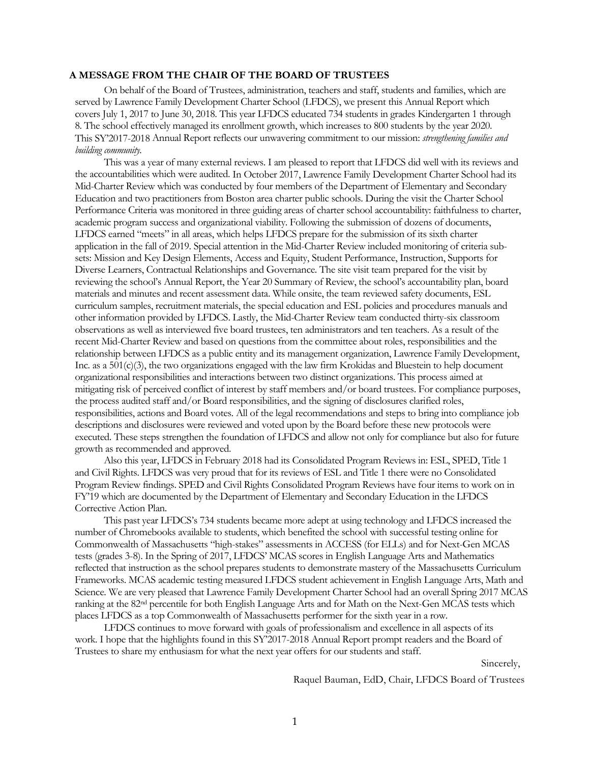#### **A MESSAGE FROM THE CHAIR OF THE BOARD OF TRUSTEES**

On behalf of the Board of Trustees, administration, teachers and staff, students and families, which are served by Lawrence Family Development Charter School (LFDCS), we present this Annual Report which covers July 1, 2017 to June 30, 2018. This year LFDCS educated 734 students in grades Kindergarten 1 through 8. The school effectively managed its enrollment growth, which increases to 800 students by the year 2020. This SY'2017-2018 Annual Report reflects our unwavering commitment to our mission: *strengthening families and building community.*

This was a year of many external reviews. I am pleased to report that LFDCS did well with its reviews and the accountabilities which were audited. In October 2017, Lawrence Family Development Charter School had its Mid-Charter Review which was conducted by four members of the Department of Elementary and Secondary Education and two practitioners from Boston area charter public schools. During the visit the Charter School Performance Criteria was monitored in three guiding areas of charter school accountability: faithfulness to charter, academic program success and organizational viability. Following the submission of dozens of documents, LFDCS earned "meets" in all areas, which helps LFDCS prepare for the submission of its sixth charter application in the fall of 2019. Special attention in the Mid-Charter Review included monitoring of criteria subsets: Mission and Key Design Elements, Access and Equity, Student Performance, Instruction, Supports for Diverse Learners, Contractual Relationships and Governance. The site visit team prepared for the visit by reviewing the school's Annual Report, the Year 20 Summary of Review, the school's accountability plan, board materials and minutes and recent assessment data. While onsite, the team reviewed safety documents, ESL curriculum samples, recruitment materials, the special education and ESL policies and procedures manuals and other information provided by LFDCS. Lastly, the Mid-Charter Review team conducted thirty-six classroom observations as well as interviewed five board trustees, ten administrators and ten teachers. As a result of the recent Mid-Charter Review and based on questions from the committee about roles, responsibilities and the relationship between LFDCS as a public entity and its management organization, Lawrence Family Development, Inc. as a 501(c)(3), the two organizations engaged with the law firm Krokidas and Bluestein to help document organizational responsibilities and interactions between two distinct organizations. This process aimed at mitigating risk of perceived conflict of interest by staff members and/or board trustees. For compliance purposes, the process audited staff and/or Board responsibilities, and the signing of disclosures clarified roles, responsibilities, actions and Board votes. All of the legal recommendations and steps to bring into compliance job descriptions and disclosures were reviewed and voted upon by the Board before these new protocols were executed. These steps strengthen the foundation of LFDCS and allow not only for compliance but also for future growth as recommended and approved.

Also this year, LFDCS in February 2018 had its Consolidated Program Reviews in: ESL, SPED, Title 1 and Civil Rights. LFDCS was very proud that for its reviews of ESL and Title 1 there were no Consolidated Program Review findings. SPED and Civil Rights Consolidated Program Reviews have four items to work on in FY'19 which are documented by the Department of Elementary and Secondary Education in the LFDCS Corrective Action Plan.

This past year LFDCS's 734 students became more adept at using technology and LFDCS increased the number of Chromebooks available to students, which benefited the school with successful testing online for Commonwealth of Massachusetts "high-stakes" assessments in ACCESS (for ELLs) and for Next-Gen MCAS tests (grades 3-8). In the Spring of 2017, LFDCS' MCAS scores in English Language Arts and Mathematics reflected that instruction as the school prepares students to demonstrate mastery of the Massachusetts Curriculum Frameworks. MCAS academic testing measured LFDCS student achievement in English Language Arts, Math and Science. We are very pleased that Lawrence Family Development Charter School had an overall Spring 2017 MCAS ranking at the 82nd percentile for both English Language Arts and for Math on the Next-Gen MCAS tests which places LFDCS as a top Commonwealth of Massachusetts performer for the sixth year in a row.

LFDCS continues to move forward with goals of professionalism and excellence in all aspects of its work. I hope that the highlights found in this SY'2017-2018 Annual Report prompt readers and the Board of Trustees to share my enthusiasm for what the next year offers for our students and staff.

Sincerely,

Raquel Bauman, EdD, Chair, LFDCS Board of Trustees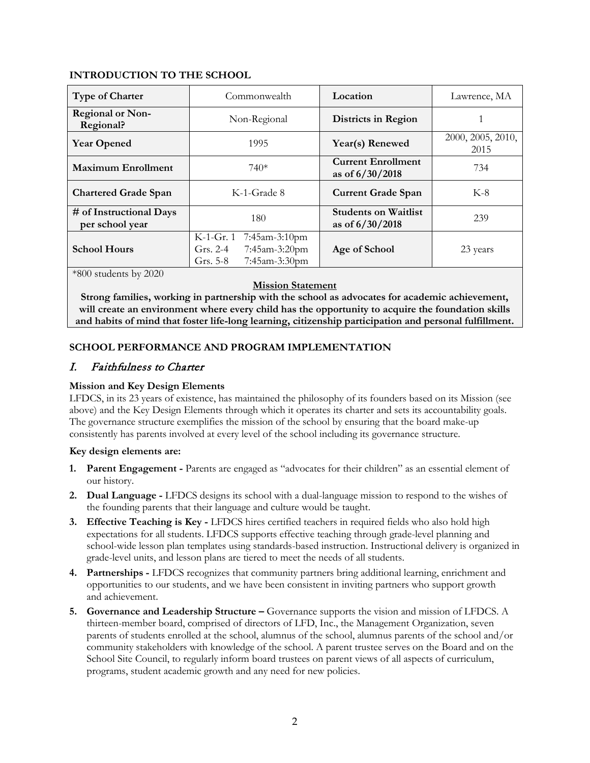#### **INTRODUCTION TO THE SCHOOL**

| <b>Type of Charter</b>                     | Commonwealth                                                                             | Location                                       | Lawrence, MA              |
|--------------------------------------------|------------------------------------------------------------------------------------------|------------------------------------------------|---------------------------|
| <b>Regional or Non-</b><br>Regional?       | Non-Regional                                                                             | Districts in Region                            |                           |
| <b>Year Opened</b>                         | 1995                                                                                     | Year(s) Renewed                                | 2000, 2005, 2010,<br>2015 |
| <b>Maximum Enrollment</b>                  | $740*$                                                                                   | <b>Current Enrollment</b><br>as of 6/30/2018   | 734                       |
| <b>Chartered Grade Span</b>                | K-1-Grade 8                                                                              | <b>Current Grade Span</b>                      | $K-8$                     |
| # of Instructional Days<br>per school year | 180                                                                                      | <b>Students on Waitlist</b><br>as of 6/30/2018 | 239                       |
| <b>School Hours</b>                        | K-1-Gr. 1<br>7:45am-3:10pm<br>7:45am-3:20pm<br>Grs. $2-4$<br>7:45am-3:30pm<br>Grs. $5-8$ | Age of School                                  | 23 years                  |

\*800 students by 2020

#### **Mission Statement**

**Strong families, working in partnership with the school as advocates for academic achievement, will create an environment where every child has the opportunity to acquire the foundation skills and habits of mind that foster life-long learning, citizenship participation and personal fulfillment.**

# **SCHOOL PERFORMANCE AND PROGRAM IMPLEMENTATION**

# I. Faithfulness to Charter

### **Mission and Key Design Elements**

LFDCS, in its 23 years of existence, has maintained the philosophy of its founders based on its Mission (see above) and the Key Design Elements through which it operates its charter and sets its accountability goals. The governance structure exemplifies the mission of the school by ensuring that the board make-up consistently has parents involved at every level of the school including its governance structure.

#### **Key design elements are:**

- **1. Parent Engagement -** Parents are engaged as "advocates for their children" as an essential element of our history.
- **2. Dual Language -** LFDCS designs its school with a dual-language mission to respond to the wishes of the founding parents that their language and culture would be taught.
- **3. Effective Teaching is Key -** LFDCS hires certified teachers in required fields who also hold high expectations for all students. LFDCS supports effective teaching through grade-level planning and school-wide lesson plan templates using standards-based instruction. Instructional delivery is organized in grade-level units, and lesson plans are tiered to meet the needs of all students.
- **4. Partnerships -** LFDCS recognizes that community partners bring additional learning, enrichment and opportunities to our students, and we have been consistent in inviting partners who support growth and achievement.
- **5. Governance and Leadership Structure –** Governance supports the vision and mission of LFDCS. A thirteen-member board, comprised of directors of LFD, Inc., the Management Organization, seven parents of students enrolled at the school, alumnus of the school, alumnus parents of the school and/or community stakeholders with knowledge of the school. A parent trustee serves on the Board and on the School Site Council, to regularly inform board trustees on parent views of all aspects of curriculum, programs, student academic growth and any need for new policies.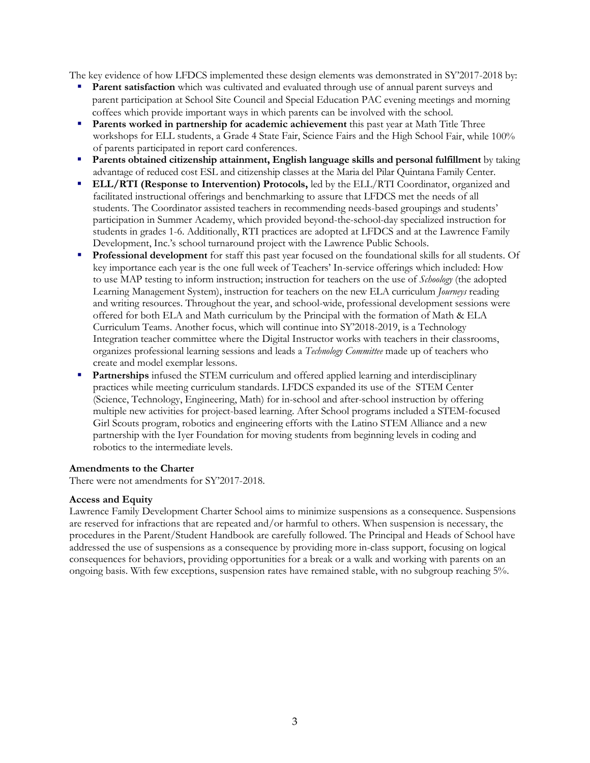The key evidence of how LFDCS implemented these design elements was demonstrated in SY'2017-2018 by:

- **Parent satisfaction** which was cultivated and evaluated through use of annual parent surveys and parent participation at School Site Council and Special Education PAC evening meetings and morning coffees which provide important ways in which parents can be involved with the school.
- **Parents worked in partnership for academic achievement** this past year at Math Title Three workshops for ELL students, a Grade 4 State Fair, Science Fairs and the High School Fair, while 100% of parents participated in report card conferences.
- **Parents obtained citizenship attainment, English language skills and personal fulfillment** by taking advantage of reduced cost ESL and citizenship classes at the Maria del Pilar Quintana Family Center.
- **ELL/RTI (Response to Intervention) Protocols,** led by the ELL/RTI Coordinator, organized and facilitated instructional offerings and benchmarking to assure that LFDCS met the needs of all students. The Coordinator assisted teachers in recommending needs-based groupings and students' participation in Summer Academy, which provided beyond-the-school-day specialized instruction for students in grades 1-6. Additionally, RTI practices are adopted at LFDCS and at the Lawrence Family Development, Inc.'s school turnaround project with the Lawrence Public Schools.
- **Professional development** for staff this past year focused on the foundational skills for all students. Of key importance each year is the one full week of Teachers' In-service offerings which included: How to use MAP testing to inform instruction; instruction for teachers on the use of *Schoology* (the adopted Learning Management System), instruction for teachers on the new ELA curriculum *Journeys* reading and writing resources. Throughout the year, and school-wide, professional development sessions were offered for both ELA and Math curriculum by the Principal with the formation of Math & ELA Curriculum Teams. Another focus, which will continue into SY'2018-2019, is a Technology Integration teacher committee where the Digital Instructor works with teachers in their classrooms, organizes professional learning sessions and leads a *Technology Committee* made up of teachers who create and model exemplar lessons.
- **Partnerships** infused the STEM curriculum and offered applied learning and interdisciplinary practices while meeting curriculum standards. LFDCS expanded its use of the STEM Center (Science, Technology, Engineering, Math) for in-school and after-school instruction by offering multiple new activities for project-based learning. After School programs included a STEM-focused Girl Scouts program, robotics and engineering efforts with the Latino STEM Alliance and a new partnership with the Iyer Foundation for moving students from beginning levels in coding and robotics to the intermediate levels.

#### **Amendments to the Charter**

There were not amendments for SY'2017-2018.

#### **Access and Equity**

Lawrence Family Development Charter School aims to minimize suspensions as a consequence. Suspensions are reserved for infractions that are repeated and/or harmful to others. When suspension is necessary, the procedures in the Parent/Student Handbook are carefully followed. The Principal and Heads of School have addressed the use of suspensions as a consequence by providing more in-class support, focusing on logical consequences for behaviors, providing opportunities for a break or a walk and working with parents on an ongoing basis. With few exceptions, suspension rates have remained stable, with no subgroup reaching 5%.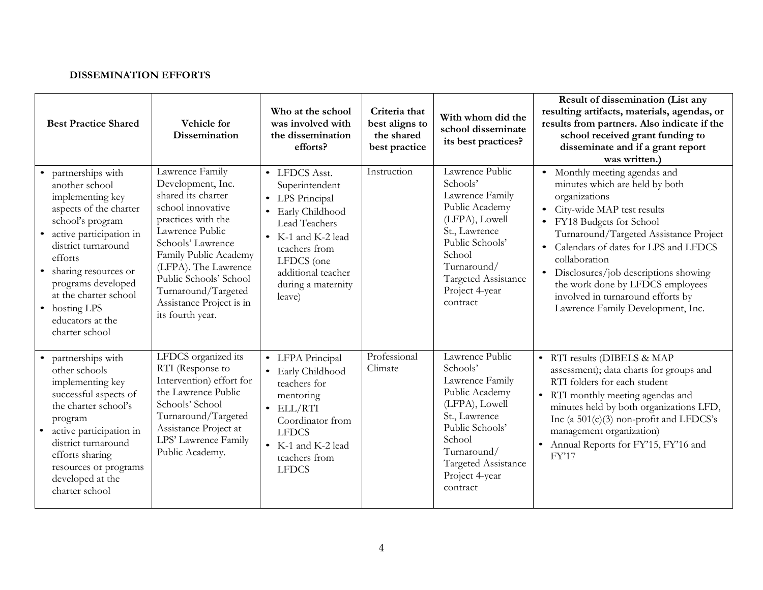# **DISSEMINATION EFFORTS**

| <b>Best Practice Shared</b>                                                                                                                                                                                                                                                                      | Vehicle for<br><b>Dissemination</b>                                                                                                                                                                                                                                                             | Who at the school<br>was involved with<br>the dissemination<br>efforts?                                                                                                                             | Criteria that<br>best aligns to<br>the shared<br>best practice | With whom did the<br>school disseminate<br>its best practices?                                                                                                                                       | Result of dissemination (List any<br>resulting artifacts, materials, agendas, or<br>results from partners. Also indicate if the<br>school received grant funding to<br>disseminate and if a grant report<br>was written.)                                                                                                                                                                            |
|--------------------------------------------------------------------------------------------------------------------------------------------------------------------------------------------------------------------------------------------------------------------------------------------------|-------------------------------------------------------------------------------------------------------------------------------------------------------------------------------------------------------------------------------------------------------------------------------------------------|-----------------------------------------------------------------------------------------------------------------------------------------------------------------------------------------------------|----------------------------------------------------------------|------------------------------------------------------------------------------------------------------------------------------------------------------------------------------------------------------|------------------------------------------------------------------------------------------------------------------------------------------------------------------------------------------------------------------------------------------------------------------------------------------------------------------------------------------------------------------------------------------------------|
| partnerships with<br>another school<br>implementing key<br>aspects of the charter<br>school's program<br>active participation in<br>district turnaround<br>efforts<br>sharing resources or<br>programs developed<br>at the charter school<br>• hosting LPS<br>educators at the<br>charter school | Lawrence Family<br>Development, Inc.<br>shared its charter<br>school innovative<br>practices with the<br>Lawrence Public<br>Schools' Lawrence<br>Family Public Academy<br>(LFPA). The Lawrence<br>Public Schools' School<br>Turnaround/Targeted<br>Assistance Project is in<br>its fourth year. | • LFDCS Asst.<br>Superintendent<br>• LPS Principal<br>• Early Childhood<br>Lead Teachers<br>• K-1 and K-2 lead<br>teachers from<br>LFDCS (one<br>additional teacher<br>during a maternity<br>leave) | Instruction                                                    | Lawrence Public<br>Schools'<br>Lawrence Family<br>Public Academy<br>(LFPA), Lowell<br>St., Lawrence<br>Public Schools'<br>School<br>Turnaround/<br>Targeted Assistance<br>Project 4-year<br>contract | Monthly meeting agendas and<br>minutes which are held by both<br>organizations<br>• City-wide MAP test results<br>FY18 Budgets for School<br>Turnaround/Targeted Assistance Project<br>Calendars of dates for LPS and LFDCS<br>collaboration<br>• Disclosures/job descriptions showing<br>the work done by LFDCS employees<br>involved in turnaround efforts by<br>Lawrence Family Development, Inc. |
| partnerships with<br>other schools<br>implementing key<br>successful aspects of<br>the charter school's<br>program<br>active participation in<br>district turnaround<br>efforts sharing<br>resources or programs<br>developed at the<br>charter school                                           | LFDCS organized its<br>RTI (Response to<br>Intervention) effort for<br>the Lawrence Public<br>Schools' School<br>Turnaround/Targeted<br>Assistance Project at<br>LPS' Lawrence Family<br>Public Academy.                                                                                        | • LFPA Principal<br>• Early Childhood<br>teachers for<br>mentoring<br>$\bullet$ ELL/RTI<br>Coordinator from<br><b>LFDCS</b><br>• K-1 and K-2 lead<br>teachers from<br><b>LFDCS</b>                  | Professional<br>Climate                                        | Lawrence Public<br>Schools'<br>Lawrence Family<br>Public Academy<br>(LFPA), Lowell<br>St., Lawrence<br>Public Schools'<br>School<br>Turnaround/<br>Targeted Assistance<br>Project 4-year<br>contract | • RTI results (DIBELS & MAP<br>assessment); data charts for groups and<br>RTI folders for each student<br>• RTI monthly meeting agendas and<br>minutes held by both organizations LFD,<br>Inc (a $501(c)(3)$ non-profit and LFDCS's<br>management organization)<br>• Annual Reports for FY'15, FY'16 and<br>FY'17                                                                                    |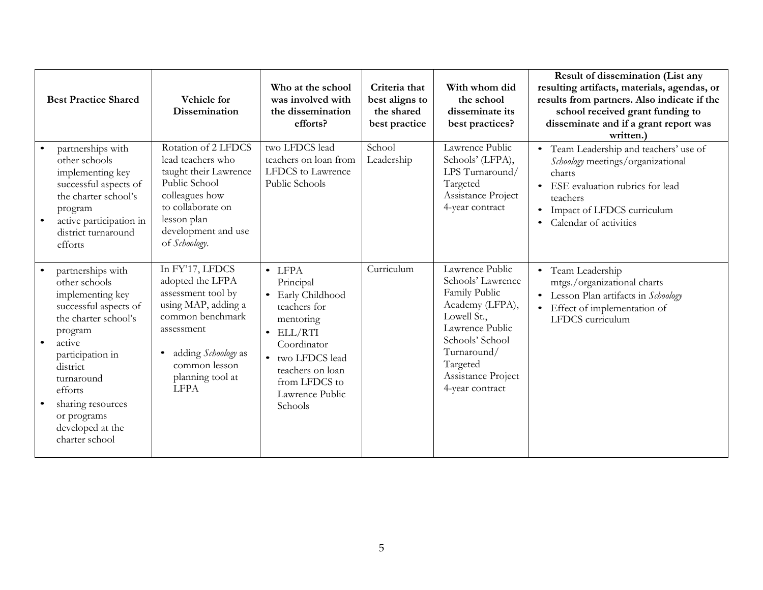| <b>Best Practice Shared</b>                                                                                                                                                                                                                                     | Vehicle for<br>Dissemination                                                                                                                                                                  | Who at the school<br>was involved with<br>the dissemination<br>efforts?                                                                                                                                  | Criteria that<br>best aligns to<br>the shared<br>best practice | With whom did<br>the school<br>disseminate its<br>best practices?                                                                                                                                 | Result of dissemination (List any<br>resulting artifacts, materials, agendas, or<br>results from partners. Also indicate if the<br>school received grant funding to<br>disseminate and if a grant report was<br>written.) |
|-----------------------------------------------------------------------------------------------------------------------------------------------------------------------------------------------------------------------------------------------------------------|-----------------------------------------------------------------------------------------------------------------------------------------------------------------------------------------------|----------------------------------------------------------------------------------------------------------------------------------------------------------------------------------------------------------|----------------------------------------------------------------|---------------------------------------------------------------------------------------------------------------------------------------------------------------------------------------------------|---------------------------------------------------------------------------------------------------------------------------------------------------------------------------------------------------------------------------|
| partnerships with<br>other schools<br>implementing key<br>successful aspects of<br>the charter school's<br>program<br>active participation in<br>$\bullet$<br>district turnaround<br>efforts                                                                    | Rotation of 2 LFDCS<br>lead teachers who<br>taught their Lawrence<br>Public School<br>colleagues how<br>to collaborate on<br>lesson plan<br>development and use<br>of Schoology.              | two LFDCS lead<br>teachers on loan from<br>LFDCS to Lawrence<br>Public Schools                                                                                                                           | School<br>Leadership                                           | Lawrence Public<br>Schools' (LFPA),<br>LPS Turnaround/<br>Targeted<br>Assistance Project<br>4-year contract                                                                                       | • Team Leadership and teachers' use of<br>Schoology meetings/organizational<br>charts<br>ESE evaluation rubrics for lead<br>teachers<br>Impact of LFDCS curriculum<br>$\bullet$<br>Calendar of activities                 |
| partnerships with<br>other schools<br>implementing key<br>successful aspects of<br>the charter school's<br>program<br>active<br>participation in<br>district<br>turnaround<br>efforts<br>sharing resources<br>or programs<br>developed at the<br>charter school | In FY'17, LFDCS<br>adopted the LFPA<br>assessment tool by<br>using MAP, adding a<br>common benchmark<br>assessment<br>adding Schoology as<br>common lesson<br>planning tool at<br><b>LFPA</b> | $\bullet$ LFPA<br>Principal<br>• Early Childhood<br>teachers for<br>mentoring<br>$\bullet$ ELL/RTI<br>Coordinator<br>• two LFDCS lead<br>teachers on loan<br>from LFDCS to<br>Lawrence Public<br>Schools | Curriculum                                                     | Lawrence Public<br>Schools' Lawrence<br>Family Public<br>Academy (LFPA),<br>Lowell St.,<br>Lawrence Public<br>Schools' School<br>Turnaround/<br>Targeted<br>Assistance Project<br>4-year contract | • Team Leadership<br>mtgs./organizational charts<br>• Lesson Plan artifacts in Schoology<br>Effect of implementation of<br>$\bullet$<br>LFDCS curriculum                                                                  |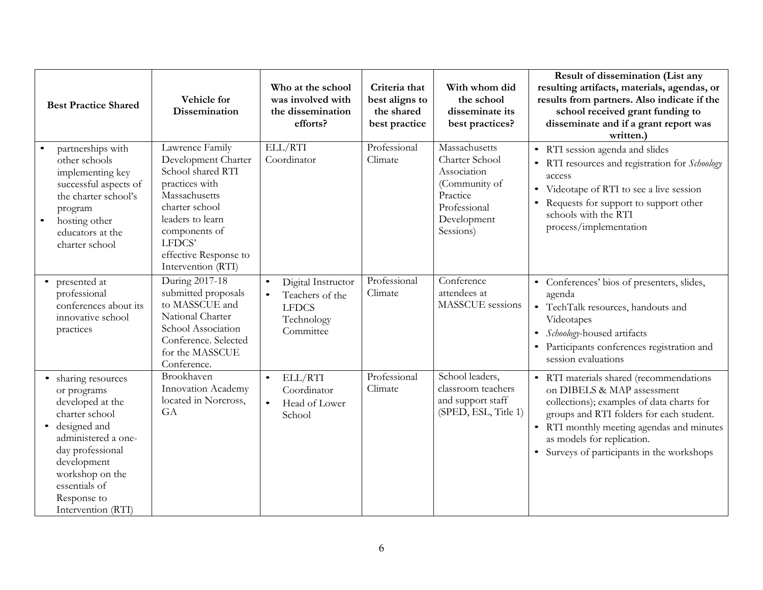| <b>Best Practice Shared</b>                                                                                                                                                                                                              | Vehicle for<br><b>Dissemination</b>                                                                                                                                                                            | Who at the school<br>was involved with<br>the dissemination<br>efforts?                       | Criteria that<br>best aligns to<br>the shared<br>best practice | With whom did<br>the school<br>disseminate its<br>best practices?                                                       | Result of dissemination (List any<br>resulting artifacts, materials, agendas, or<br>results from partners. Also indicate if the<br>school received grant funding to<br>disseminate and if a grant report was<br>written.)                                                               |
|------------------------------------------------------------------------------------------------------------------------------------------------------------------------------------------------------------------------------------------|----------------------------------------------------------------------------------------------------------------------------------------------------------------------------------------------------------------|-----------------------------------------------------------------------------------------------|----------------------------------------------------------------|-------------------------------------------------------------------------------------------------------------------------|-----------------------------------------------------------------------------------------------------------------------------------------------------------------------------------------------------------------------------------------------------------------------------------------|
| partnerships with<br>other schools<br>implementing key<br>successful aspects of<br>the charter school's<br>program<br>hosting other<br>$\bullet$<br>educators at the<br>charter school                                                   | Lawrence Family<br>Development Charter<br>School shared RTI<br>practices with<br>Massachusetts<br>charter school<br>leaders to learn<br>components of<br>LFDCS'<br>effective Response to<br>Intervention (RTI) | ELL/RTI<br>Coordinator                                                                        | Professional<br>Climate                                        | Massachusetts<br>Charter School<br>Association<br>(Community of<br>Practice<br>Professional<br>Development<br>Sessions) | • RTI session agenda and slides<br>• RTI resources and registration for Schoology<br>access<br>• Videotape of RTI to see a live session<br>• Requests for support to support other<br>schools with the RTI<br>process/implementation                                                    |
| presented at<br>$\bullet$<br>professional<br>conferences about its<br>innovative school<br>practices                                                                                                                                     | During 2017-18<br>submitted proposals<br>to MASSCUE and<br>National Charter<br>School Association<br>Conference. Selected<br>for the MASSCUE<br>Conference.                                                    | Digital Instructor<br>$\bullet$<br>Teachers of the<br><b>LFDCS</b><br>Technology<br>Committee | Professional<br>Climate                                        | Conference<br>attendees at<br>MASSCUE sessions                                                                          | • Conferences' bios of presenters, slides,<br>agenda<br>• TechTalk resources, handouts and<br>Videotapes<br>Schoology-housed artifacts<br>$\bullet$<br>• Participants conferences registration and<br>session evaluations                                                               |
| • sharing resources<br>or programs<br>developed at the<br>charter school<br>designed and<br>$\bullet$<br>administered a one-<br>day professional<br>development<br>workshop on the<br>essentials of<br>Response to<br>Intervention (RTI) | Brookhaven<br>Innovation Academy<br>located in Norcross,<br>GA                                                                                                                                                 | ELL/RTI<br>$\bullet$<br>Coordinator<br>$\bullet$<br>Head of Lower<br>School                   | Professional<br>Climate                                        | School leaders,<br>classroom teachers<br>and support staff<br>(SPED, ESL, Title 1)                                      | • RTI materials shared (recommendations<br>on DIBELS & MAP assessment<br>collections); examples of data charts for<br>groups and RTI folders for each student.<br>• RTI monthly meeting agendas and minutes<br>as models for replication.<br>• Surveys of participants in the workshops |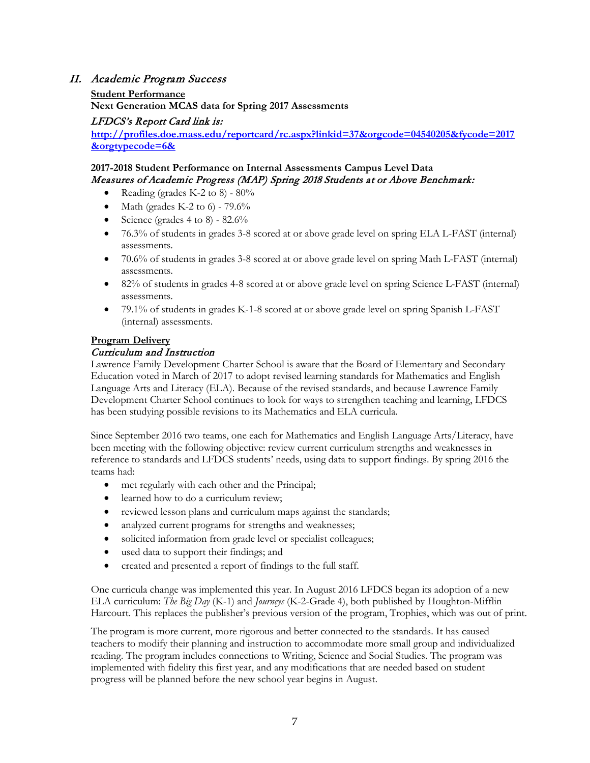# II. Academic Program Success

#### **Student Performance**

**Next Generation MCAS data for Spring 2017 Assessments**

# LFDCS's Report Card link is:

**[http://profiles.doe.mass.edu/reportcard/rc.aspx?linkid=37&orgcode=04540205&fycode=2017](http://profiles.doe.mass.edu/mcas/achievement_level.aspx?linkid=32&orgcode=04540205&orgtypecode=6&Student%20Performance%20SY’2016-2017%20) [&orgtypecode=6&](http://profiles.doe.mass.edu/mcas/achievement_level.aspx?linkid=32&orgcode=04540205&orgtypecode=6&Student%20Performance%20SY’2016-2017%20)**

### **2017-2018 Student Performance on Internal Assessments Campus Level Data** Measures of Academic Progress (MAP) Spring 2018 Students at or Above Benchmark:

- Reading (grades K-2 to 8)  $80\%$
- Math (grades K-2 to 6)  $79.6\%$
- Science (grades 4 to 8)  $82.6\%$
- 76.3% of students in grades 3-8 scored at or above grade level on spring ELA L-FAST (internal) assessments.
- 70.6% of students in grades 3-8 scored at or above grade level on spring Math L-FAST (internal) assessments.
- 82% of students in grades 4-8 scored at or above grade level on spring Science L-FAST (internal) assessments.
- 79.1% of students in grades K-1-8 scored at or above grade level on spring Spanish L-FAST (internal) assessments.

#### **Program Delivery**

#### Curriculum and Instruction

Lawrence Family Development Charter School is aware that the Board of Elementary and Secondary Education voted in March of 2017 to adopt revised learning standards for Mathematics and English Language Arts and Literacy (ELA). Because of the revised standards, and because Lawrence Family Development Charter School continues to look for ways to strengthen teaching and learning, LFDCS has been studying possible revisions to its Mathematics and ELA curricula.

Since September 2016 two teams, one each for Mathematics and English Language Arts/Literacy, have been meeting with the following objective: review current curriculum strengths and weaknesses in reference to standards and LFDCS students' needs, using data to support findings. By spring 2016 the teams had:

- met regularly with each other and the Principal;
- learned how to do a curriculum review;
- reviewed lesson plans and curriculum maps against the standards;
- analyzed current programs for strengths and weaknesses;
- solicited information from grade level or specialist colleagues;
- used data to support their findings; and
- created and presented a report of findings to the full staff.

One curricula change was implemented this year. In August 2016 LFDCS began its adoption of a new ELA curriculum: *The Big Day* (K-1) and *Journeys* (K-2-Grade 4), both published by Houghton-Mifflin Harcourt. This replaces the publisher's previous version of the program, Trophies, which was out of print.

The program is more current, more rigorous and better connected to the standards. It has caused teachers to modify their planning and instruction to accommodate more small group and individualized reading. The program includes connections to Writing, Science and Social Studies. The program was implemented with fidelity this first year, and any modifications that are needed based on student progress will be planned before the new school year begins in August.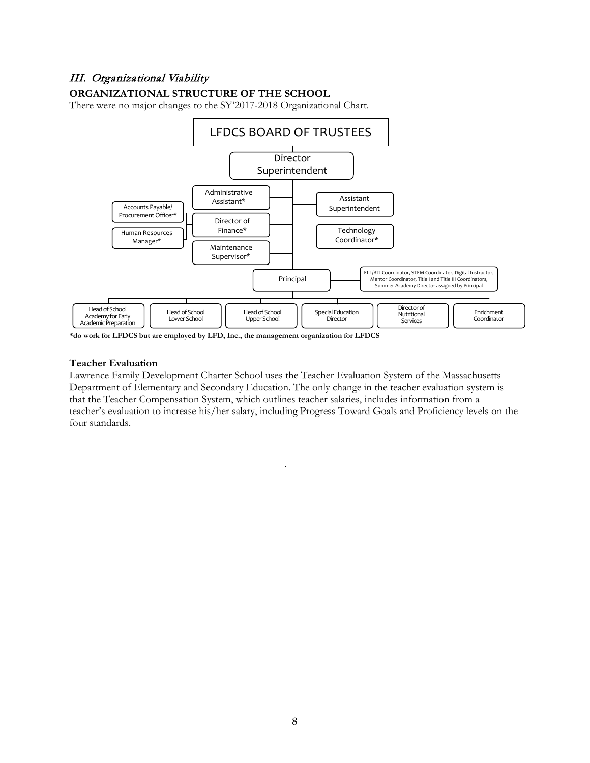# III. Organizational Viability

# **ORGANIZATIONAL STRUCTURE OF THE SCHOOL**

There were no major changes to the SY'2017-2018 Organizational Chart.



**\*do work for LFDCS but are employed by LFD, Inc., the management organization for LFDCS**

#### **Teacher Evaluation**

Lawrence Family Development Charter School uses the Teacher Evaluation System of the Massachusetts Department of Elementary and Secondary Education. The only change in the teacher evaluation system is that the Teacher Compensation System, which outlines teacher salaries, includes information from a teacher's evaluation to increase his/her salary, including Progress Toward Goals and Proficiency levels on the four standards.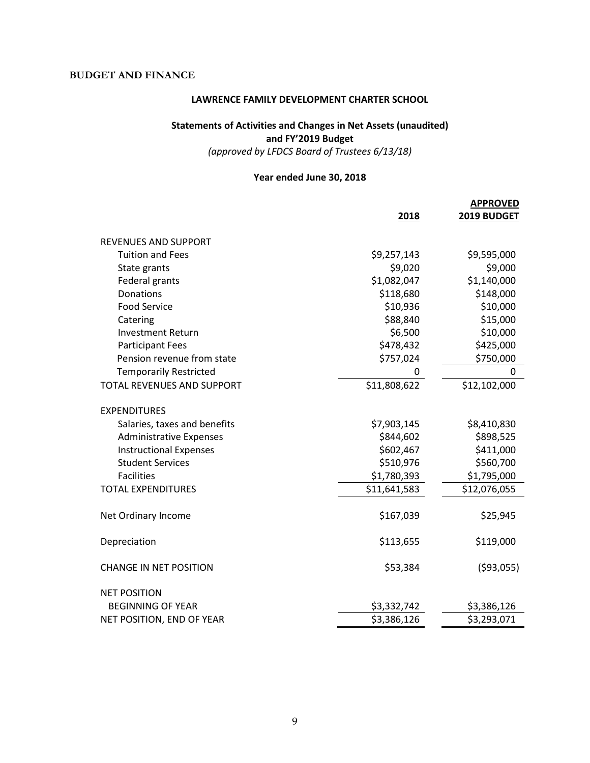# **BUDGET AND FINANCE**

#### **LAWRENCE FAMILY DEVELOPMENT CHARTER SCHOOL**

# **Statements of Activities and Changes in Net Assets (unaudited) and FY'2019 Budget**

*(approved by LFDCS Board of Trustees 6/13/18)*

# **Year ended June 30, 2018**

|                                   | 2018         | <b>APPROVED</b><br>2019 BUDGET |
|-----------------------------------|--------------|--------------------------------|
| <b>REVENUES AND SUPPORT</b>       |              |                                |
| <b>Tuition and Fees</b>           | \$9,257,143  | \$9,595,000                    |
| State grants                      | \$9,020      | \$9,000                        |
| Federal grants                    | \$1,082,047  | \$1,140,000                    |
| Donations                         | \$118,680    | \$148,000                      |
| <b>Food Service</b>               | \$10,936     | \$10,000                       |
| Catering                          | \$88,840     | \$15,000                       |
| <b>Investment Return</b>          | \$6,500      | \$10,000                       |
| <b>Participant Fees</b>           | \$478,432    | \$425,000                      |
| Pension revenue from state        | \$757,024    | \$750,000                      |
| <b>Temporarily Restricted</b>     | $\Omega$     | $\mathbf{0}$                   |
| <b>TOTAL REVENUES AND SUPPORT</b> | \$11,808,622 | \$12,102,000                   |
| <b>EXPENDITURES</b>               |              |                                |
| Salaries, taxes and benefits      | \$7,903,145  | \$8,410,830                    |
| <b>Administrative Expenses</b>    | \$844,602    | \$898,525                      |
| <b>Instructional Expenses</b>     | \$602,467    | \$411,000                      |
| <b>Student Services</b>           | \$510,976    | \$560,700                      |
| <b>Facilities</b>                 | \$1,780,393  | \$1,795,000                    |
| <b>TOTAL EXPENDITURES</b>         | \$11,641,583 | \$12,076,055                   |
| Net Ordinary Income               | \$167,039    | \$25,945                       |
| Depreciation                      | \$113,655    | \$119,000                      |
| <b>CHANGE IN NET POSITION</b>     | \$53,384     | (593,055)                      |
| <b>NET POSITION</b>               |              |                                |
| <b>BEGINNING OF YEAR</b>          | \$3,332,742  | \$3,386,126                    |
| NET POSITION, END OF YEAR         | \$3,386,126  | \$3,293,071                    |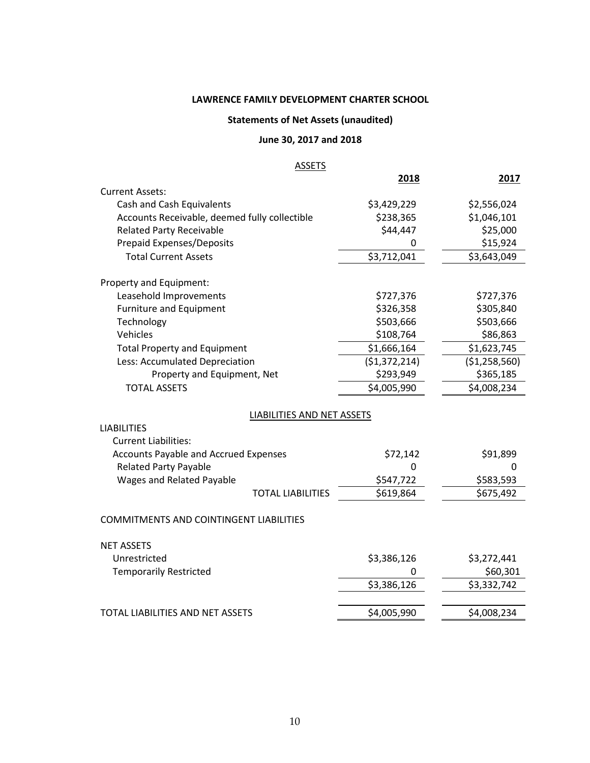# **LAWRENCE FAMILY DEVELOPMENT CHARTER SCHOOL**

# **Statements of Net Assets (unaudited)**

# **June 30, 2017 and 2018**

# **ASSETS**

|                                                |                            | 2018          | 2017          |
|------------------------------------------------|----------------------------|---------------|---------------|
| <b>Current Assets:</b>                         |                            |               |               |
| Cash and Cash Equivalents                      |                            | \$3,429,229   | \$2,556,024   |
| Accounts Receivable, deemed fully collectible  |                            | \$238,365     | \$1,046,101   |
| <b>Related Party Receivable</b>                |                            | \$44,447      | \$25,000      |
| <b>Prepaid Expenses/Deposits</b>               |                            | 0             | \$15,924      |
| <b>Total Current Assets</b>                    |                            | \$3,712,041   | \$3,643,049   |
| Property and Equipment:                        |                            |               |               |
| Leasehold Improvements                         |                            | \$727,376     | \$727,376     |
| <b>Furniture and Equipment</b>                 |                            | \$326,358     | \$305,840     |
| Technology                                     |                            | \$503,666     | \$503,666     |
| Vehicles                                       |                            | \$108,764     | \$86,863      |
| <b>Total Property and Equipment</b>            |                            | \$1,666,164   | \$1,623,745   |
| Less: Accumulated Depreciation                 |                            | (\$1,372,214) | (\$1,258,560) |
| Property and Equipment, Net                    |                            | \$293,949     | \$365,185     |
| <b>TOTAL ASSETS</b>                            |                            | \$4,005,990   | \$4,008,234   |
|                                                | LIABILITIES AND NET ASSETS |               |               |
| <b>LIABILITIES</b>                             |                            |               |               |
| <b>Current Liabilities:</b>                    |                            |               |               |
| <b>Accounts Payable and Accrued Expenses</b>   |                            | \$72,142      | \$91,899      |
| <b>Related Party Payable</b>                   |                            | 0             | 0             |
| Wages and Related Payable                      |                            | \$547,722     | \$583,593     |
|                                                | <b>TOTAL LIABILITIES</b>   | \$619,864     | \$675,492     |
| <b>COMMITMENTS AND COINTINGENT LIABILITIES</b> |                            |               |               |
| <b>NET ASSETS</b>                              |                            |               |               |
| Unrestricted                                   |                            | \$3,386,126   | \$3,272,441   |
| <b>Temporarily Restricted</b>                  |                            | 0             | \$60,301      |
|                                                |                            | \$3,386,126   | \$3,332,742   |
|                                                |                            |               |               |
| <b>TOTAL LIABILITIES AND NET ASSETS</b>        |                            | \$4,005,990   | \$4,008,234   |
|                                                |                            |               |               |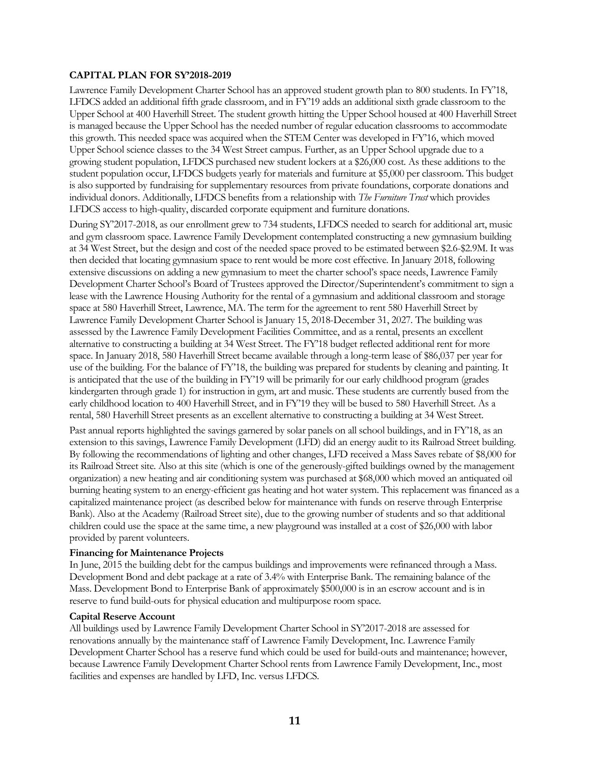#### **CAPITAL PLAN FOR SY'2018-2019**

Lawrence Family Development Charter School has an approved student growth plan to 800 students. In FY'18, LFDCS added an additional fifth grade classroom, and in FY'19 adds an additional sixth grade classroom to the Upper School at 400 Haverhill Street. The student growth hitting the Upper School housed at 400 Haverhill Street is managed because the Upper School has the needed number of regular education classrooms to accommodate this growth. This needed space was acquired when the STEM Center was developed in FY'16, which moved Upper School science classes to the 34 West Street campus. Further, as an Upper School upgrade due to a growing student population, LFDCS purchased new student lockers at a \$26,000 cost. As these additions to the student population occur, LFDCS budgets yearly for materials and furniture at \$5,000 per classroom. This budget is also supported by fundraising for supplementary resources from private foundations, corporate donations and individual donors. Additionally, LFDCS benefits from a relationship with *The Furniture Trust* which provides LFDCS access to high-quality, discarded corporate equipment and furniture donations*.*

During SY'2017-2018, as our enrollment grew to 734 students, LFDCS needed to search for additional art, music and gym classroom space. Lawrence Family Development contemplated constructing a new gymnasium building at 34 West Street, but the design and cost of the needed space proved to be estimated between \$2.6-\$2.9M. It was then decided that locating gymnasium space to rent would be more cost effective. In January 2018, following extensive discussions on adding a new gymnasium to meet the charter school's space needs, Lawrence Family Development Charter School's Board of Trustees approved the Director/Superintendent's commitment to sign a lease with the Lawrence Housing Authority for the rental of a gymnasium and additional classroom and storage space at 580 Haverhill Street, Lawrence, MA. The term for the agreement to rent 580 Haverhill Street by Lawrence Family Development Charter School is January 15, 2018-December 31, 2027. The building was assessed by the Lawrence Family Development Facilities Committee, and as a rental, presents an excellent alternative to constructing a building at 34 West Street. The FY'18 budget reflected additional rent for more space. In January 2018, 580 Haverhill Street became available through a long-term lease of \$86,037 per year for use of the building. For the balance of FY'18, the building was prepared for students by cleaning and painting. It is anticipated that the use of the building in FY'19 will be primarily for our early childhood program (grades kindergarten through grade 1) for instruction in gym, art and music. These students are currently bused from the early childhood location to 400 Haverhill Street, and in FY'19 they will be bused to 580 Haverhill Street. As a rental, 580 Haverhill Street presents as an excellent alternative to constructing a building at 34 West Street.

Past annual reports highlighted the savings garnered by solar panels on all school buildings, and in FY'18, as an extension to this savings, Lawrence Family Development (LFD) did an energy audit to its Railroad Street building. By following the recommendations of lighting and other changes, LFD received a Mass Saves rebate of \$8,000 for its Railroad Street site. Also at this site (which is one of the generously-gifted buildings owned by the management organization) a new heating and air conditioning system was purchased at \$68,000 which moved an antiquated oil burning heating system to an energy-efficient gas heating and hot water system. This replacement was financed as a capitalized maintenance project (as described below for maintenance with funds on reserve through Enterprise Bank). Also at the Academy (Railroad Street site), due to the growing number of students and so that additional children could use the space at the same time, a new playground was installed at a cost of \$26,000 with labor provided by parent volunteers.

#### **Financing for Maintenance Projects**

In June, 2015 the building debt for the campus buildings and improvements were refinanced through a Mass. Development Bond and debt package at a rate of 3.4% with Enterprise Bank. The remaining balance of the Mass. Development Bond to Enterprise Bank of approximately \$500,000 is in an escrow account and is in reserve to fund build-outs for physical education and multipurpose room space.

#### **Capital Reserve Account**

All buildings used by Lawrence Family Development Charter School in SY'2017-2018 are assessed for renovations annually by the maintenance staff of Lawrence Family Development, Inc. Lawrence Family Development Charter School has a reserve fund which could be used for build-outs and maintenance; however, because Lawrence Family Development Charter School rents from Lawrence Family Development, Inc., most facilities and expenses are handled by LFD, Inc. versus LFDCS.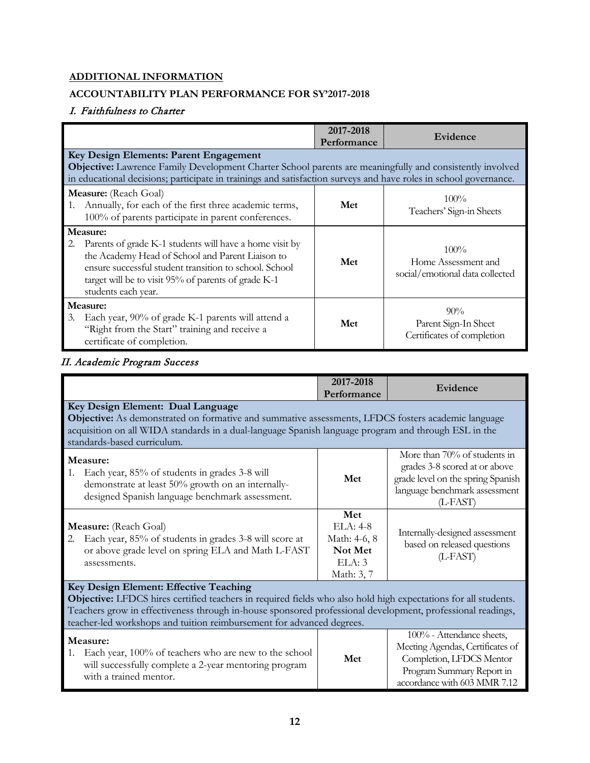# **ADDITIONAL INFORMATION**

# **ACCOUNTABILITY PLAN PERFORMANCE FOR SY'2017-2018**

# I. Faithfulness to Charter

|                                                                                                                                                                                                                                                                    | 2017-2018<br>Performance | Evidence                                                          |
|--------------------------------------------------------------------------------------------------------------------------------------------------------------------------------------------------------------------------------------------------------------------|--------------------------|-------------------------------------------------------------------|
| Key Design Elements: Parent Engagement                                                                                                                                                                                                                             |                          |                                                                   |
| Objective: Lawrence Family Development Charter School parents are meaningfully and consistently involved                                                                                                                                                           |                          |                                                                   |
| in educational decisions; participate in trainings and satisfaction surveys and have roles in school governance.                                                                                                                                                   |                          |                                                                   |
| Measure: (Reach Goal)<br>Annually, for each of the first three academic terms,<br>1.<br>100% of parents participate in parent conferences.                                                                                                                         | Met                      | $100\%$<br>Teachers' Sign-in Sheets                               |
| Measure:<br>2. Parents of grade K-1 students will have a home visit by<br>the Academy Head of School and Parent Liaison to<br>ensure successful student transition to school. School<br>target will be to visit 95% of parents of grade K-1<br>students each year. | Met                      | $100\%$<br>Home Assessment and<br>social/emotional data collected |
| Measure:<br>Each year, 90% of grade K-1 parents will attend a<br>3.<br>"Right from the Start" training and receive a<br>certificate of completion.                                                                                                                 | Met                      | $90\%$<br>Parent Sign-In Sheet<br>Certificates of completion      |

# II. Academic Program Success

|                                                                                                                                                                                                                                                                                                                                                 | 2017-2018<br>Performance                                             | Evidence                                                                                                                                               |  |
|-------------------------------------------------------------------------------------------------------------------------------------------------------------------------------------------------------------------------------------------------------------------------------------------------------------------------------------------------|----------------------------------------------------------------------|--------------------------------------------------------------------------------------------------------------------------------------------------------|--|
| Key Design Element: Dual Language<br><b>Objective:</b> As demonstrated on formative and summative assessments, LFDCS fosters academic language<br>acquisition on all WIDA standards in a dual-language Spanish language program and through ESL in the<br>standards-based curriculum.                                                           |                                                                      |                                                                                                                                                        |  |
| Measure:<br>Each year, 85% of students in grades 3-8 will<br>1.<br>demonstrate at least 50% growth on an internally-<br>designed Spanish language benchmark assessment.                                                                                                                                                                         | Met                                                                  | More than 70% of students in<br>grades 3-8 scored at or above<br>grade level on the spring Spanish<br>language benchmark assessment<br>$(L-FAST)$      |  |
| Measure: (Reach Goal)<br>Each year, 85% of students in grades 3-8 will score at<br>2.<br>or above grade level on spring ELA and Math L-FAST<br>assessments.                                                                                                                                                                                     | Met<br>$ELA: 4-8$<br>Math: 4-6, 8<br>Not Met<br>ELA: 3<br>Math: 3, 7 | Internally-designed assessment<br>based on released questions<br>$(L$ -FAST)                                                                           |  |
| Key Design Element: Effective Teaching<br>Objective: LFDCS hires certified teachers in required fields who also hold high expectations for all students.<br>Teachers grow in effectiveness through in-house sponsored professional development, professional readings,<br>teacher-led workshops and tuition reimbursement for advanced degrees. |                                                                      |                                                                                                                                                        |  |
| Measure:<br>Each year, 100% of teachers who are new to the school<br>1.<br>will successfully complete a 2-year mentoring program<br>with a trained mentor.                                                                                                                                                                                      | Met                                                                  | 100% - Attendance sheets,<br>Meeting Agendas, Certificates of<br>Completion, LFDCS Mentor<br>Program Summary Report in<br>accordance with 603 MMR 7.12 |  |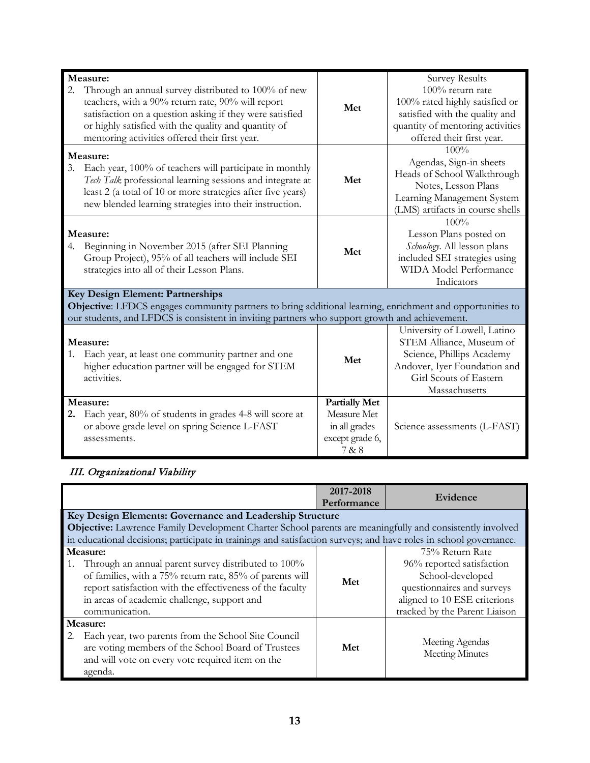| Measure:<br>Through an annual survey distributed to 100% of new<br>teachers, with a 90% return rate, 90% will report<br>satisfaction on a question asking if they were satisfied<br>or highly satisfied with the quality and quantity of<br>mentoring activities offered their first year. | Met                                                                              | <b>Survey Results</b><br>100% return rate<br>100% rated highly satisfied or<br>satisfied with the quality and<br>quantity of mentoring activities<br>offered their first year. |
|--------------------------------------------------------------------------------------------------------------------------------------------------------------------------------------------------------------------------------------------------------------------------------------------|----------------------------------------------------------------------------------|--------------------------------------------------------------------------------------------------------------------------------------------------------------------------------|
| Measure:<br>Each year, 100% of teachers will participate in monthly<br>3.<br>Tech Talk professional learning sessions and integrate at<br>least 2 (a total of 10 or more strategies after five years)<br>new blended learning strategies into their instruction.                           | Met                                                                              | 100%<br>Agendas, Sign-in sheets<br>Heads of School Walkthrough<br>Notes, Lesson Plans<br>Learning Management System<br>(LMS) artifacts in course shells                        |
| Measure:<br>Beginning in November 2015 (after SEI Planning<br>4.<br>Group Project), 95% of all teachers will include SEI<br>strategies into all of their Lesson Plans.                                                                                                                     | Met                                                                              | 100%<br>Lesson Plans posted on<br>Schoology. All lesson plans<br>included SEI strategies using<br><b>WIDA</b> Model Performance<br>Indicators                                  |
| Key Design Element: Partnerships<br>Objective: LFDCS engages community partners to bring additional learning, enrichment and opportunities to<br>our students, and LFDCS is consistent in inviting partners who support growth and achievement.                                            |                                                                                  |                                                                                                                                                                                |
| Measure:<br>Each year, at least one community partner and one<br>1.<br>higher education partner will be engaged for STEM<br>activities.                                                                                                                                                    | Met                                                                              | University of Lowell, Latino<br>STEM Alliance, Museum of<br>Science, Phillips Academy<br>Andover, Iyer Foundation and<br>Girl Scouts of Eastern<br>Massachusetts               |
| Measure:<br>Each year, 80% of students in grades 4-8 will score at<br>or above grade level on spring Science L-FAST<br>assessments.                                                                                                                                                        | <b>Partially Met</b><br>Measure Met<br>in all grades<br>except grade 6,<br>7 & 8 | Science assessments (L-FAST)                                                                                                                                                   |

# III. Organizational Viability

|    |                                                                                                                                                                                                                                                           | 2017-2018<br>Performance | Evidence                                                                                                                                                        |  |
|----|-----------------------------------------------------------------------------------------------------------------------------------------------------------------------------------------------------------------------------------------------------------|--------------------------|-----------------------------------------------------------------------------------------------------------------------------------------------------------------|--|
|    | Key Design Elements: Governance and Leadership Structure                                                                                                                                                                                                  |                          |                                                                                                                                                                 |  |
|    | <b>Objective:</b> Lawrence Family Development Charter School parents are meaningfully and consistently involved                                                                                                                                           |                          |                                                                                                                                                                 |  |
|    | in educational decisions; participate in trainings and satisfaction surveys; and have roles in school governance.                                                                                                                                         |                          |                                                                                                                                                                 |  |
|    | Measure:<br>Through an annual parent survey distributed to 100%<br>of families, with a 75% return rate, 85% of parents will<br>report satisfaction with the effectiveness of the faculty<br>in areas of academic challenge, support and<br>communication. | Met                      | 75% Return Rate<br>96% reported satisfaction<br>School-developed<br>questionnaires and surveys<br>aligned to 10 ESE criterions<br>tracked by the Parent Liaison |  |
| 2. | Measure:<br>Each year, two parents from the School Site Council<br>are voting members of the School Board of Trustees<br>and will vote on every vote required item on the<br>agenda.                                                                      | Met                      | Meeting Agendas<br><b>Meeting Minutes</b>                                                                                                                       |  |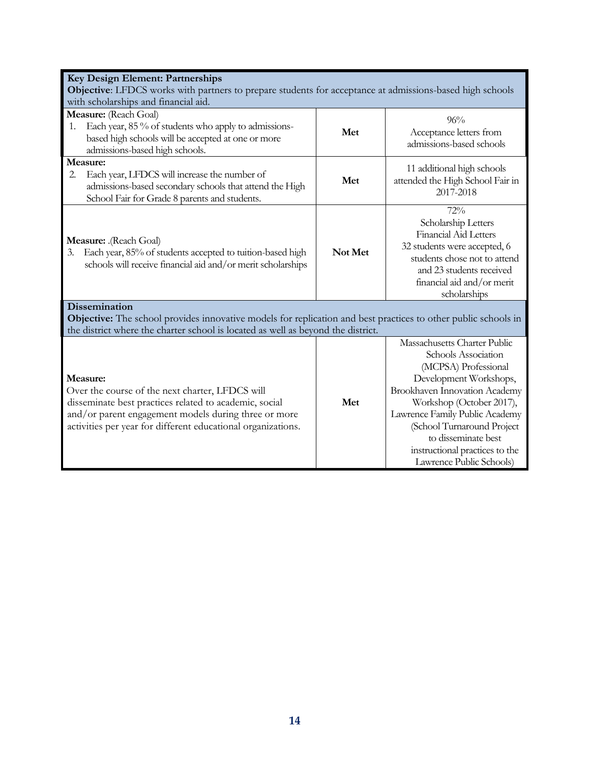| Key Design Element: Partnerships                                                                                      |         |                                  |  |
|-----------------------------------------------------------------------------------------------------------------------|---------|----------------------------------|--|
| Objective: LFDCS works with partners to prepare students for acceptance at admissions-based high schools              |         |                                  |  |
| with scholarships and financial aid.                                                                                  |         |                                  |  |
| Measure: (Reach Goal)                                                                                                 |         | 96%                              |  |
| Each year, 85 % of students who apply to admissions-<br>1.                                                            | Met     | Acceptance letters from          |  |
| based high schools will be accepted at one or more                                                                    |         | admissions-based schools         |  |
| admissions-based high schools.                                                                                        |         |                                  |  |
| Measure:                                                                                                              |         | 11 additional high schools       |  |
| Each year, LFDCS will increase the number of<br>2.                                                                    | Met     | attended the High School Fair in |  |
| admissions-based secondary schools that attend the High                                                               |         | 2017-2018                        |  |
| School Fair for Grade 8 parents and students.                                                                         |         |                                  |  |
|                                                                                                                       |         | 72%                              |  |
|                                                                                                                       |         | Scholarship Letters              |  |
|                                                                                                                       |         | Financial Aid Letters            |  |
| Measure: .(Reach Goal)                                                                                                | Not Met | 32 students were accepted, 6     |  |
| Each year, 85% of students accepted to tuition-based high<br>3.                                                       |         | students chose not to attend     |  |
| schools will receive financial aid and/or merit scholarships                                                          |         | and 23 students received         |  |
|                                                                                                                       |         | financial aid and/or merit       |  |
|                                                                                                                       |         | scholarships                     |  |
| <b>Dissemination</b>                                                                                                  |         |                                  |  |
| <b>Objective:</b> The school provides innovative models for replication and best practices to other public schools in |         |                                  |  |
| the district where the charter school is located as well as beyond the district.                                      |         |                                  |  |
|                                                                                                                       |         | Massachusetts Charter Public     |  |
|                                                                                                                       |         | Schools Association              |  |
|                                                                                                                       |         | (MCPSA) Professional             |  |
| Measure:                                                                                                              |         | Development Workshops,           |  |
| Over the course of the next charter, LFDCS will                                                                       |         | Brookhaven Innovation Academy    |  |
| disseminate best practices related to academic, social                                                                | Met     | Workshop (October 2017),         |  |
| and/or parent engagement models during three or more                                                                  |         | Lawrence Family Public Academy   |  |
| activities per year for different educational organizations.                                                          |         | (School Turnaround Project       |  |
|                                                                                                                       |         | to disseminate best              |  |
|                                                                                                                       |         | instructional practices to the   |  |
|                                                                                                                       |         | Lawrence Public Schools)         |  |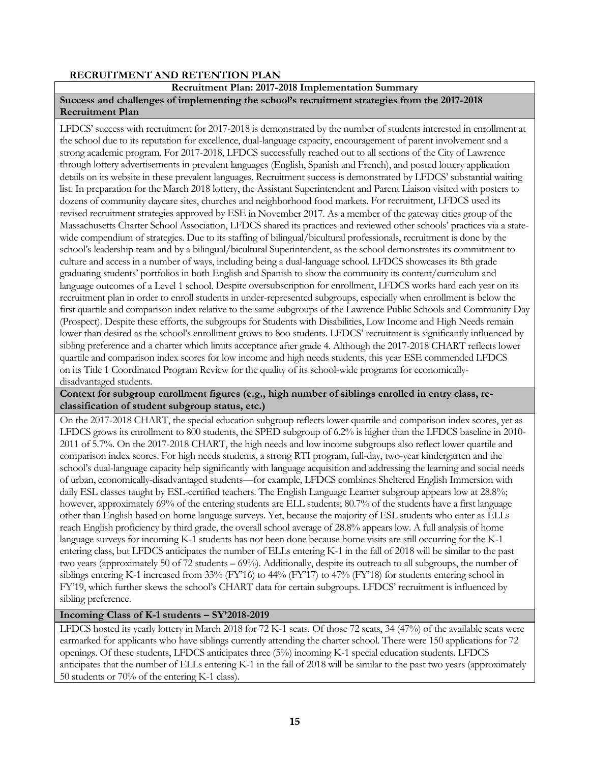# **RECRUITMENT AND RETENTION PLAN**

#### **Recruitment Plan: 2017-2018 Implementation Summary**

### **Success and challenges of implementing the school's recruitment strategies from the 2017-2018 Recruitment Plan**

LFDCS' success with recruitment for 2017-2018 is demonstrated by the number of students interested in enrollment at the school due to its reputation for excellence, dual-language capacity, encouragement of parent involvement and a strong academic program. For 2017-2018, LFDCS successfully reached out to all sections of the City of Lawrence through lottery advertisements in prevalent languages (English, Spanish and French), and posted lottery application details on its website in these prevalent languages. Recruitment success is demonstrated by LFDCS' substantial waiting list. In preparation for the March 2018 lottery, the Assistant Superintendent and Parent Liaison visited with posters to dozens of community daycare sites, churches and neighborhood food markets. For recruitment, LFDCS used its revised recruitment strategies approved by ESE in November 2017. As a member of the gateway cities group of the Massachusetts Charter School Association, LFDCS shared its practices and reviewed other schools' practices via a statewide compendium of strategies. Due to its staffing of bilingual/bicultural professionals, recruitment is done by the school's leadership team and by a bilingual/bicultural Superintendent, as the school demonstrates its commitment to culture and access in a number of ways, including being a dual-language school. LFDCS showcases its 8th grade graduating students' portfolios in both English and Spanish to show the community its content/curriculum and language outcomes of a Level 1 school. Despite oversubscription for enrollment, LFDCS works hard each year on its recruitment plan in order to enroll students in under-represented subgroups, especially when enrollment is below the first quartile and comparison index relative to the same subgroups of the Lawrence Public Schools and Community Day (Prospect). Despite these efforts, the subgroups for Students with Disabilities, Low Income and High Needs remain lower than desired as the school's enrollment grows to 8oo students. LFDCS' recruitment is significantly influenced by sibling preference and a charter which limits acceptance after grade 4. Although the 2017-2018 CHART reflects lower quartile and comparison index scores for low income and high needs students, this year ESE commended LFDCS on its Title 1 Coordinated Program Review for the quality of its school-wide programs for economicallydisadvantaged students.

**Context for subgroup enrollment figures (e.g., high number of siblings enrolled in entry class, reclassification of student subgroup status, etc.)**

On the 2017-2018 CHART, the special education subgroup reflects lower quartile and comparison index scores, yet as LFDCS grows its enrollment to 800 students, the SPED subgroup of 6.2% is higher than the LFDCS baseline in 2010- 2011 of 5.7%. On the 2017-2018 CHART, the high needs and low income subgroups also reflect lower quartile and comparison index scores. For high needs students, a strong RTI program, full-day, two-year kindergarten and the school's dual-language capacity help significantly with language acquisition and addressing the learning and social needs of urban, economically-disadvantaged students—for example, LFDCS combines Sheltered English Immersion with daily ESL classes taught by ESL-certified teachers. The English Language Learner subgroup appears low at 28.8%; however, approximately 69% of the entering students are ELL students; 80.7% of the students have a first language other than English based on home language surveys. Yet, because the majority of ESL students who enter as ELLs reach English proficiency by third grade, the overall school average of 28.8% appears low. A full analysis of home language surveys for incoming K-1 students has not been done because home visits are still occurring for the K-1 entering class, but LFDCS anticipates the number of ELLs entering K-1 in the fall of 2018 will be similar to the past two years (approximately 50 of 72 students – 69%). Additionally, despite its outreach to all subgroups, the number of siblings entering K-1 increased from 33% (FY'16) to 44% (FY'17) to 47% (FY'18) for students entering school in FY'19, which further skews the school's CHART data for certain subgroups. LFDCS' recruitment is influenced by sibling preference.

#### **Incoming Class of K-1 students – SY'2018-2019**

LFDCS hosted its yearly lottery in March 2018 for 72 K-1 seats. Of those 72 seats, 34 (47%) of the available seats were earmarked for applicants who have siblings currently attending the charter school. There were 150 applications for 72 openings. Of these students, LFDCS anticipates three (5%) incoming K-1 special education students. LFDCS anticipates that the number of ELLs entering K-1 in the fall of 2018 will be similar to the past two years (approximately 50 students or 70% of the entering K-1 class).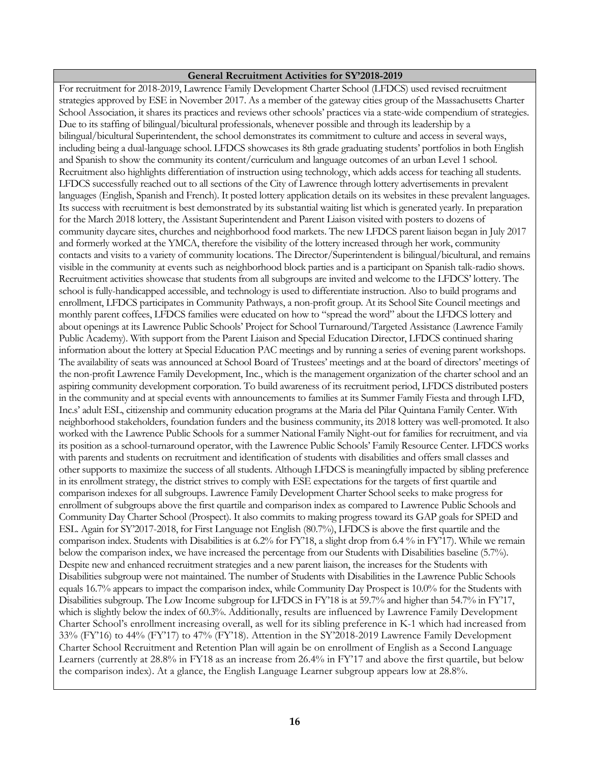#### **General Recruitment Activities for SY'2018-2019**

For recruitment for 2018-2019, Lawrence Family Development Charter School (LFDCS) used revised recruitment strategies approved by ESE in November 2017. As a member of the gateway cities group of the Massachusetts Charter School Association, it shares its practices and reviews other schools' practices via a state-wide compendium of strategies. Due to its staffing of bilingual/bicultural professionals, whenever possible and through its leadership by a bilingual/bicultural Superintendent, the school demonstrates its commitment to culture and access in several ways, including being a dual-language school. LFDCS showcases its 8th grade graduating students' portfolios in both English and Spanish to show the community its content/curriculum and language outcomes of an urban Level 1 school. Recruitment also highlights differentiation of instruction using technology, which adds access for teaching all students. LFDCS successfully reached out to all sections of the City of Lawrence through lottery advertisements in prevalent languages (English, Spanish and French). It posted lottery application details on its websites in these prevalent languages. Its success with recruitment is best demonstrated by its substantial waiting list which is generated yearly. In preparation for the March 2018 lottery, the Assistant Superintendent and Parent Liaison visited with posters to dozens of community daycare sites, churches and neighborhood food markets. The new LFDCS parent liaison began in July 2017 and formerly worked at the YMCA, therefore the visibility of the lottery increased through her work, community contacts and visits to a variety of community locations. The Director/Superintendent is bilingual/bicultural, and remains visible in the community at events such as neighborhood block parties and is a participant on Spanish talk-radio shows. Recruitment activities showcase that students from all subgroups are invited and welcome to the LFDCS' lottery. The school is fully-handicapped accessible, and technology is used to differentiate instruction. Also to build programs and enrollment, LFDCS participates in Community Pathways, a non-profit group. At its School Site Council meetings and monthly parent coffees, LFDCS families were educated on how to "spread the word" about the LFDCS lottery and about openings at its Lawrence Public Schools' Project for School Turnaround/Targeted Assistance (Lawrence Family Public Academy). With support from the Parent Liaison and Special Education Director, LFDCS continued sharing information about the lottery at Special Education PAC meetings and by running a series of evening parent workshops. The availability of seats was announced at School Board of Trustees' meetings and at the board of directors' meetings of the non-profit Lawrence Family Development, Inc., which is the management organization of the charter school and an aspiring community development corporation. To build awareness of its recruitment period, LFDCS distributed posters in the community and at special events with announcements to families at its Summer Family Fiesta and through LFD, Inc.s' adult ESL, citizenship and community education programs at the Maria del Pilar Quintana Family Center. With neighborhood stakeholders, foundation funders and the business community, its 2018 lottery was well-promoted. It also worked with the Lawrence Public Schools for a summer National Family Night-out for families for recruitment, and via its position as a school-turnaround operator, with the Lawrence Public Schools' Family Resource Center. LFDCS works with parents and students on recruitment and identification of students with disabilities and offers small classes and other supports to maximize the success of all students. Although LFDCS is meaningfully impacted by sibling preference in its enrollment strategy, the district strives to comply with ESE expectations for the targets of first quartile and comparison indexes for all subgroups. Lawrence Family Development Charter School seeks to make progress for enrollment of subgroups above the first quartile and comparison index as compared to Lawrence Public Schools and Community Day Charter School (Prospect). It also commits to making progress toward its GAP goals for SPED and ESL. Again for SY'2017-2018, for First Language not English (80.7%), LFDCS is above the first quartile and the comparison index. Students with Disabilities is at 6.2% for FY'18, a slight drop from 6.4 % in FY'17). While we remain below the comparison index, we have increased the percentage from our Students with Disabilities baseline (5.7%). Despite new and enhanced recruitment strategies and a new parent liaison, the increases for the Students with Disabilities subgroup were not maintained. The number of Students with Disabilities in the Lawrence Public Schools equals 16.7% appears to impact the comparison index, while Community Day Prospect is 10.0% for the Students with Disabilities subgroup. The Low Income subgroup for LFDCS in FY'18 is at 59.7% and higher than 54.7% in FY'17, which is slightly below the index of 60.3%. Additionally, results are influenced by Lawrence Family Development Charter School's enrollment increasing overall, as well for its sibling preference in K-1 which had increased from 33% (FY'16) to 44% (FY'17) to 47% (FY'18). Attention in the SY'2018-2019 Lawrence Family Development Charter School Recruitment and Retention Plan will again be on enrollment of English as a Second Language Learners (currently at 28.8% in FY18 as an increase from 26.4% in FY'17 and above the first quartile, but below the comparison index). At a glance, the English Language Learner subgroup appears low at 28.8%.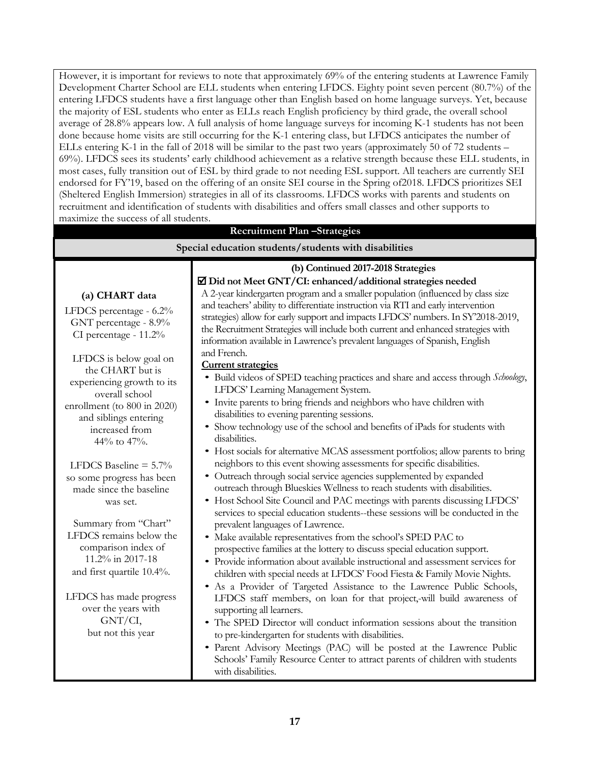However, it is important for reviews to note that approximately 69% of the entering students at Lawrence Family Development Charter School are ELL students when entering LFDCS. Eighty point seven percent (80.7%) of the entering LFDCS students have a first language other than English based on home language surveys. Yet, because the majority of ESL students who enter as ELLs reach English proficiency by third grade, the overall school average of 28.8% appears low. A full analysis of home language surveys for incoming K-1 students has not been done because home visits are still occurring for the K-1 entering class, but LFDCS anticipates the number of ELLs entering K-1 in the fall of 2018 will be similar to the past two years (approximately 50 of 72 students – 69%). LFDCS sees its students' early childhood achievement as a relative strength because these ELL students, in most cases, fully transition out of ESL by third grade to not needing ESL support. All teachers are currently SEI endorsed for FY'19, based on the offering of an onsite SEI course in the Spring of2018. LFDCS prioritizes SEI (Sheltered English Immersion) strategies in all of its classrooms. LFDCS works with parents and students on recruitment and identification of students with disabilities and offers small classes and other supports to maximize the success of all students.

# **Recruitment Plan –Strategies**

#### **Special education students/students with disabilities (a) CHART data** LFDCS percentage - 6.2% GNT percentage - 8.9% CI percentage - 11.2% LFDCS is below goal on the CHART but is experiencing growth to its overall school enrollment (to 800 in 2020) and siblings entering increased from 44% to 47%. LFDCS Baseline  $= 5.7\%$ so some progress has been made since the baseline was set. Summary from "Chart" LFDCS remains below the comparison index of 11.2% in 2017-18 and first quartile 10.4%. LFDCS has made progress over the years with GNT/CI, but not this year **(b) Continued 2017-2018 Strategies Did not Meet GNT/CI: enhanced/additional strategies needed** A 2-year kindergarten program and a smaller population (influenced by class size and teachers' ability to differentiate instruction via RTI and early intervention strategies) allow for early support and impacts LFDCS' numbers. In SY'2018-2019, the Recruitment Strategies will include both current and enhanced strategies with information available in Lawrence's prevalent languages of Spanish, English and French. **Current strategies** • Build videos of SPED teaching practices and share and access through *Schoology*, LFDCS' Learning Management System. • Invite parents to bring friends and neighbors who have children with disabilities to evening parenting sessions. • Show technology use of the school and benefits of iPads for students with disabilities. • Host socials for alternative MCAS assessment portfolios; allow parents to bring neighbors to this event showing assessments for specific disabilities. • Outreach through social service agencies supplemented by expanded outreach through Blueskies Wellness to reach students with disabilities. • Host School Site Council and PAC meetings with parents discussing LFDCS' services to special education students--these sessions will be conducted in the prevalent languages of Lawrence. • Make available representatives from the school's SPED PAC to prospective families at the lottery to discuss special education support. • Provide information about available instructional and assessment services for children with special needs at LFDCS' Food Fiesta & Family Movie Nights. • As a Provider of Targeted Assistance to the Lawrence Public Schools, LFDCS staff members, on loan for that project,-will build awareness of supporting all learners. • The SPED Director will conduct information sessions about the transition to pre-kindergarten for students with disabilities.

• Parent Advisory Meetings (PAC) will be posted at the Lawrence Public Schools' Family Resource Center to attract parents of children with students with disabilities.

**17**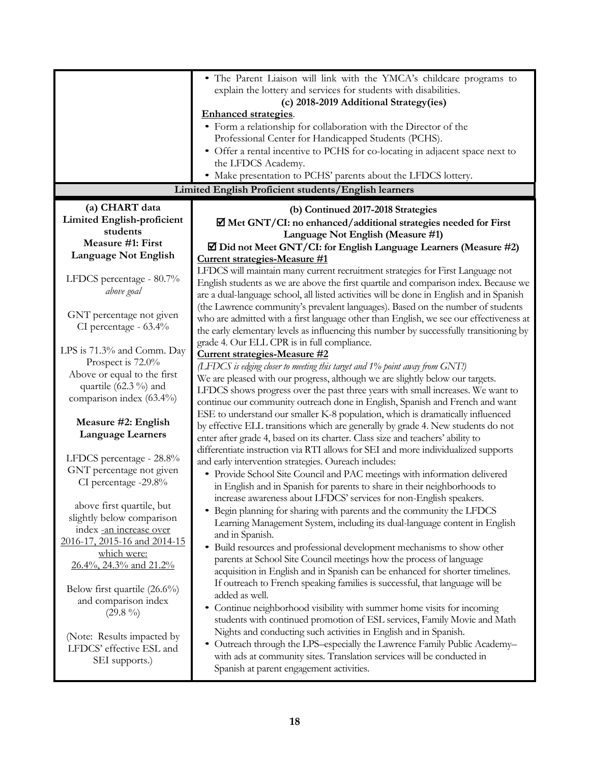|                                                                                                    | • The Parent Liaison will link with the YMCA's childcare programs to                                                                                |  |  |  |  |
|----------------------------------------------------------------------------------------------------|-----------------------------------------------------------------------------------------------------------------------------------------------------|--|--|--|--|
|                                                                                                    | explain the lottery and services for students with disabilities.                                                                                    |  |  |  |  |
|                                                                                                    | (c) 2018-2019 Additional Strategy(ies)                                                                                                              |  |  |  |  |
|                                                                                                    | <b>Enhanced strategies.</b>                                                                                                                         |  |  |  |  |
|                                                                                                    | • Form a relationship for collaboration with the Director of the                                                                                    |  |  |  |  |
|                                                                                                    | Professional Center for Handicapped Students (PCHS).                                                                                                |  |  |  |  |
|                                                                                                    | • Offer a rental incentive to PCHS for co-locating in adjacent space next to                                                                        |  |  |  |  |
|                                                                                                    | the LFDCS Academy.                                                                                                                                  |  |  |  |  |
|                                                                                                    | • Make presentation to PCHS' parents about the LFDCS lottery.                                                                                       |  |  |  |  |
|                                                                                                    | Limited English Proficient students/English learners                                                                                                |  |  |  |  |
| (a) CHART data                                                                                     | (b) Continued 2017-2018 Strategies                                                                                                                  |  |  |  |  |
| <b>Limited English-proficient</b>                                                                  | $\Xi$ Met GNT/CI: no enhanced/additional strategies needed for First                                                                                |  |  |  |  |
| students                                                                                           | Language Not English (Measure #1)                                                                                                                   |  |  |  |  |
| Measure #1: First                                                                                  | $\Xi$ Did not Meet GNT/CI: for English Language Learners (Measure #2)                                                                               |  |  |  |  |
| <b>Language Not English</b>                                                                        | Current strategies-Measure #1                                                                                                                       |  |  |  |  |
|                                                                                                    | LFDCS will maintain many current recruitment strategies for First Language not                                                                      |  |  |  |  |
| LFDCS percentage - 80.7%                                                                           | English students as we are above the first quartile and comparison index. Because we                                                                |  |  |  |  |
| above goal                                                                                         | are a dual-language school, all listed activities will be done in English and in Spanish                                                            |  |  |  |  |
|                                                                                                    | (the Lawrence community's prevalent languages). Based on the number of students                                                                     |  |  |  |  |
| GNT percentage not given                                                                           | who are admitted with a first language other than English, we see our effectiveness at                                                              |  |  |  |  |
| CI percentage - 63.4%                                                                              | the early elementary levels as influencing this number by successfully transitioning by                                                             |  |  |  |  |
|                                                                                                    | grade 4. Our ELL CPR is in full compliance.                                                                                                         |  |  |  |  |
| LPS is 71.3% and Comm. Day                                                                         | Current strategies-Measure #2                                                                                                                       |  |  |  |  |
| Prospect is 72.0%                                                                                  | (LFDCS is edging closer to meeting this target and 1% point away from GNT!)                                                                         |  |  |  |  |
| Above or equal to the first                                                                        | We are pleased with our progress, although we are slightly below our targets.                                                                       |  |  |  |  |
| quartile (62.3 %) and                                                                              | LFDCS shows progress over the past three years with small increases. We want to                                                                     |  |  |  |  |
| comparison index (63.4%)                                                                           | continue our community outreach done in English, Spanish and French and want                                                                        |  |  |  |  |
|                                                                                                    | ESE to understand our smaller K-8 population, which is dramatically influenced                                                                      |  |  |  |  |
| Measure #2: English<br><b>Language Learners</b>                                                    | by effective ELL transitions which are generally by grade 4. New students do not                                                                    |  |  |  |  |
|                                                                                                    | enter after grade 4, based on its charter. Class size and teachers' ability to                                                                      |  |  |  |  |
| LFDCS percentage - 28.8%                                                                           | differentiate instruction via RTI allows for SEI and more individualized supports                                                                   |  |  |  |  |
| GNT percentage not given                                                                           | and early intervention strategies. Our each includes:                                                                                               |  |  |  |  |
| CI percentage -29.8%                                                                               | • Provide School Site Council and PAC meetings with information delivered                                                                           |  |  |  |  |
|                                                                                                    | in English and in Spanish for parents to share in their neighborhoods to                                                                            |  |  |  |  |
| above first quartile, but                                                                          | increase awareness about LFDCS' services for non-English speakers.                                                                                  |  |  |  |  |
| slightly below comparison                                                                          | Begin planning for sharing with parents and the community the LFDCS<br>$\bullet$                                                                    |  |  |  |  |
| index -an increase over                                                                            | Learning Management System, including its dual-language content in English                                                                          |  |  |  |  |
| 2016-17, 2015-16 and 2014-15                                                                       | and in Spanish.                                                                                                                                     |  |  |  |  |
| which were:                                                                                        | Build resources and professional development mechanisms to show other<br>$\bullet$                                                                  |  |  |  |  |
| 26.4%, 24.3% and 21.2%                                                                             | parents at School Site Council meetings how the process of language<br>acquisition in English and in Spanish can be enhanced for shorter timelines. |  |  |  |  |
|                                                                                                    | If outreach to French speaking families is successful, that language will be                                                                        |  |  |  |  |
| Below first quartile (26.6%)                                                                       | added as well.                                                                                                                                      |  |  |  |  |
| and comparison index                                                                               | Continue neighborhood visibility with summer home visits for incoming                                                                               |  |  |  |  |
| $(29.8\%)$                                                                                         | students with continued promotion of ESL services, Family Movie and Math                                                                            |  |  |  |  |
|                                                                                                    | Nights and conducting such activities in English and in Spanish.                                                                                    |  |  |  |  |
| (Note: Results impacted by                                                                         | Outreach through the LPS-especially the Lawrence Family Public Academy-                                                                             |  |  |  |  |
| LFDCS' effective ESL and<br>with ads at community sites. Translation services will be conducted in |                                                                                                                                                     |  |  |  |  |
| SEI supports.)                                                                                     | Spanish at parent engagement activities.                                                                                                            |  |  |  |  |
|                                                                                                    |                                                                                                                                                     |  |  |  |  |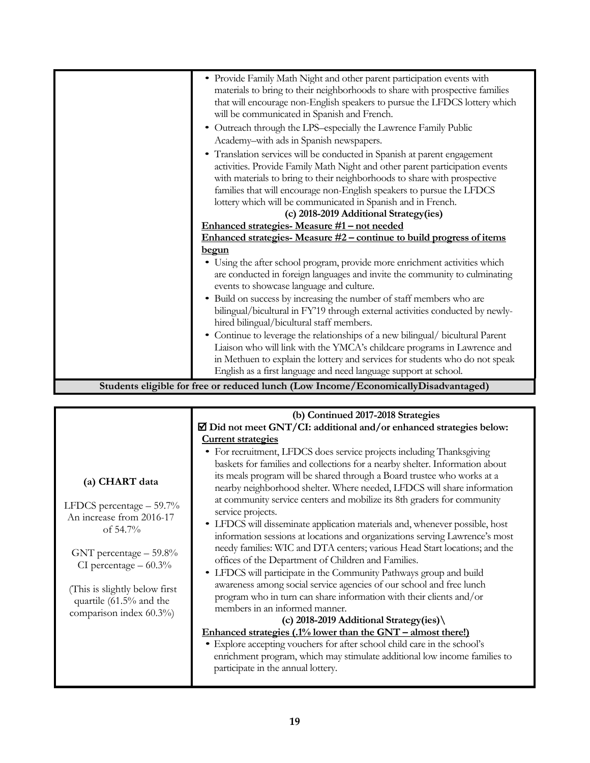| • Provide Family Math Night and other parent participation events with<br>materials to bring to their neighborhoods to share with prospective families<br>that will encourage non-English speakers to pursue the LFDCS lottery which |
|--------------------------------------------------------------------------------------------------------------------------------------------------------------------------------------------------------------------------------------|
| will be communicated in Spanish and French.                                                                                                                                                                                          |
| Outreach through the LPS-especially the Lawrence Family Public                                                                                                                                                                       |
| Academy-with ads in Spanish newspapers.                                                                                                                                                                                              |
| • Translation services will be conducted in Spanish at parent engagement<br>activities. Provide Family Math Night and other parent participation events<br>with materials to bring to their neighborhoods to share with prospective  |
| families that will encourage non-English speakers to pursue the LFDCS                                                                                                                                                                |
| lottery which will be communicated in Spanish and in French.                                                                                                                                                                         |
| (c) 2018-2019 Additional Strategy(ies)                                                                                                                                                                                               |
| Enhanced strategies- Measure #1 - not needed                                                                                                                                                                                         |
| Enhanced strategies-Measure #2 - continue to build progress of items                                                                                                                                                                 |
| <u>begun</u>                                                                                                                                                                                                                         |
| • Using the after school program, provide more enrichment activities which<br>are conducted in foreign languages and invite the community to culminating<br>events to showcase language and culture.                                 |
| Build on success by increasing the number of staff members who are<br>bilingual/bicultural in FY'19 through external activities conducted by newly-<br>hired bilingual/bicultural staff members.                                     |
| • Continue to leverage the relationships of a new bilingual/ bicultural Parent                                                                                                                                                       |
| Liaison who will link with the YMCA's childcare programs in Lawrence and                                                                                                                                                             |
| in Methuen to explain the lottery and services for students who do not speak                                                                                                                                                         |
| English as a first language and need language support at school.                                                                                                                                                                     |
| Students eligible for free or reduced lunch (Low Income/EconomicallyDisadvantaged)                                                                                                                                                   |

|                                                                                                                                                                                                                                        | (b) Continued 2017-2018 Strategies                                                                                                                                                                                                                                                                                                                                                                                                                                                                                                                                                                                                                                                                                                                                                                                                                                                                                                                                                                                                                                                                                                                                                                                                                                                         |  |  |  |  |
|----------------------------------------------------------------------------------------------------------------------------------------------------------------------------------------------------------------------------------------|--------------------------------------------------------------------------------------------------------------------------------------------------------------------------------------------------------------------------------------------------------------------------------------------------------------------------------------------------------------------------------------------------------------------------------------------------------------------------------------------------------------------------------------------------------------------------------------------------------------------------------------------------------------------------------------------------------------------------------------------------------------------------------------------------------------------------------------------------------------------------------------------------------------------------------------------------------------------------------------------------------------------------------------------------------------------------------------------------------------------------------------------------------------------------------------------------------------------------------------------------------------------------------------------|--|--|--|--|
|                                                                                                                                                                                                                                        | $\overline{\mathbf{\mathbb{Z}}}$ Did not meet GNT/CI: additional and/or enhanced strategies below:                                                                                                                                                                                                                                                                                                                                                                                                                                                                                                                                                                                                                                                                                                                                                                                                                                                                                                                                                                                                                                                                                                                                                                                         |  |  |  |  |
|                                                                                                                                                                                                                                        | <b>Current strategies</b>                                                                                                                                                                                                                                                                                                                                                                                                                                                                                                                                                                                                                                                                                                                                                                                                                                                                                                                                                                                                                                                                                                                                                                                                                                                                  |  |  |  |  |
| (a) CHART data<br>LFDCS percentage $-59.7\%$<br>An increase from 2016-17<br>of $54.7\%$<br>GNT percentage $-59.8\%$<br>CI percentage $-60.3\%$<br>(This is slightly below first)<br>quartile (61.5% and the<br>comparison index 60.3%) | • For recruitment, LFDCS does service projects including Thanksgiving<br>baskets for families and collections for a nearby shelter. Information about<br>its meals program will be shared through a Board trustee who works at a<br>nearby neighborhood shelter. Where needed, LFDCS will share information<br>at community service centers and mobilize its 8th graders for community<br>service projects.<br>• LFDCS will disseminate application materials and, whenever possible, host<br>information sessions at locations and organizations serving Lawrence's most<br>needy families: WIC and DTA centers; various Head Start locations; and the<br>offices of the Department of Children and Families.<br>• LFDCS will participate in the Community Pathways group and build<br>awareness among social service agencies of our school and free lunch<br>program who in turn can share information with their clients and/or<br>members in an informed manner.<br>(c) 2018-2019 Additional Strategy(ies) $\setminus$<br>Enhanced strategies (.1% lower than the GNT – almost there!)<br>• Explore accepting vouchers for after school child care in the school's<br>enrichment program, which may stimulate additional low income families to<br>participate in the annual lottery. |  |  |  |  |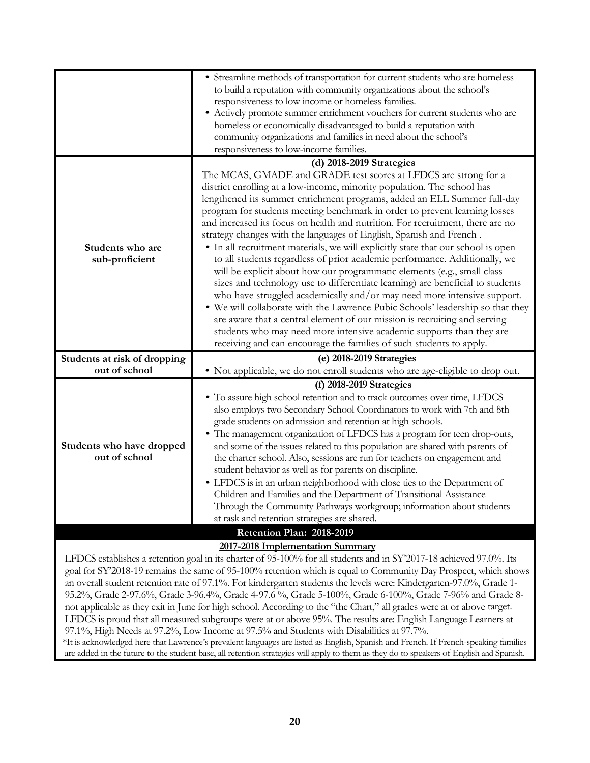|                                            | • Streamline methods of transportation for current students who are homeless<br>to build a reputation with community organizations about the school's<br>responsiveness to low income or homeless families.<br>• Actively promote summer enrichment vouchers for current students who are<br>homeless or economically disadvantaged to build a reputation with<br>community organizations and families in need about the school's<br>responsiveness to low-income families.                                                                                                                                                                                                                                                                                                                                                                                                                                                                                                                                                                                                                                                                                                          |  |  |  |
|--------------------------------------------|--------------------------------------------------------------------------------------------------------------------------------------------------------------------------------------------------------------------------------------------------------------------------------------------------------------------------------------------------------------------------------------------------------------------------------------------------------------------------------------------------------------------------------------------------------------------------------------------------------------------------------------------------------------------------------------------------------------------------------------------------------------------------------------------------------------------------------------------------------------------------------------------------------------------------------------------------------------------------------------------------------------------------------------------------------------------------------------------------------------------------------------------------------------------------------------|--|--|--|
|                                            | (d) 2018-2019 Strategies                                                                                                                                                                                                                                                                                                                                                                                                                                                                                                                                                                                                                                                                                                                                                                                                                                                                                                                                                                                                                                                                                                                                                             |  |  |  |
| Students who are<br>sub-proficient         | The MCAS, GMADE and GRADE test scores at LFDCS are strong for a<br>district enrolling at a low-income, minority population. The school has<br>lengthened its summer enrichment programs, added an ELL Summer full-day<br>program for students meeting benchmark in order to prevent learning losses<br>and increased its focus on health and nutrition. For recruitment, there are no<br>strategy changes with the languages of English, Spanish and French.<br>• In all recruitment materials, we will explicitly state that our school is open<br>to all students regardless of prior academic performance. Additionally, we<br>will be explicit about how our programmatic elements (e.g., small class<br>sizes and technology use to differentiate learning) are beneficial to students<br>who have struggled academically and/or may need more intensive support.<br>. We will collaborate with the Lawrence Pubic Schools' leadership so that they<br>are aware that a central element of our mission is recruiting and serving<br>students who may need more intensive academic supports than they are<br>receiving and can encourage the families of such students to apply. |  |  |  |
| Students at risk of dropping               | (e) 2018-2019 Strategies                                                                                                                                                                                                                                                                                                                                                                                                                                                                                                                                                                                                                                                                                                                                                                                                                                                                                                                                                                                                                                                                                                                                                             |  |  |  |
| out of school                              | • Not applicable, we do not enroll students who are age-eligible to drop out.                                                                                                                                                                                                                                                                                                                                                                                                                                                                                                                                                                                                                                                                                                                                                                                                                                                                                                                                                                                                                                                                                                        |  |  |  |
|                                            |                                                                                                                                                                                                                                                                                                                                                                                                                                                                                                                                                                                                                                                                                                                                                                                                                                                                                                                                                                                                                                                                                                                                                                                      |  |  |  |
|                                            |                                                                                                                                                                                                                                                                                                                                                                                                                                                                                                                                                                                                                                                                                                                                                                                                                                                                                                                                                                                                                                                                                                                                                                                      |  |  |  |
| Students who have dropped<br>out of school | $(f)$ 2018-2019 Strategies<br>• To assure high school retention and to track outcomes over time, LFDCS<br>also employs two Secondary School Coordinators to work with 7th and 8th<br>grade students on admission and retention at high schools.<br>• The management organization of LFDCS has a program for teen drop-outs,<br>and some of the issues related to this population are shared with parents of<br>the charter school. Also, sessions are run for teachers on engagement and<br>student behavior as well as for parents on discipline.<br>• LFDCS is in an urban neighborhood with close ties to the Department of<br>Children and Families and the Department of Transitional Assistance<br>Through the Community Pathways workgroup; information about students<br>at rask and retention strategies are shared.                                                                                                                                                                                                                                                                                                                                                        |  |  |  |
|                                            | Retention Plan: 2018-2019<br>2017-2018 Implementation Summary                                                                                                                                                                                                                                                                                                                                                                                                                                                                                                                                                                                                                                                                                                                                                                                                                                                                                                                                                                                                                                                                                                                        |  |  |  |

LFDCS establishes a retention goal in its charter of 95-100% for all students and in SY'2017-18 achieved 97.0%. Its goal for SY'2018-19 remains the same of 95-100% retention which is equal to Community Day Prospect, which shows an overall student retention rate of 97.1%. For kindergarten students the levels were: Kindergarten-97.0%, Grade 1- 95.2%, Grade 2-97.6%, Grade 3-96.4%, Grade 4-97.6 %, Grade 5-100%, Grade 6-100%, Grade 7-96% and Grade 8 not applicable as they exit in June for high school. According to the "the Chart," all grades were at or above target. LFDCS is proud that all measured subgroups were at or above 95%. The results are: English Language Learners at 97.1%, High Needs at 97.2%, Low Income at 97.5% and Students with Disabilities at 97.7%.

\*It is acknowledged here that Lawrence's prevalent languages are listed as English, Spanish and French. If French-speaking families are added in the future to the student base, all retention strategies will apply to them as they do to speakers of English and Spanish.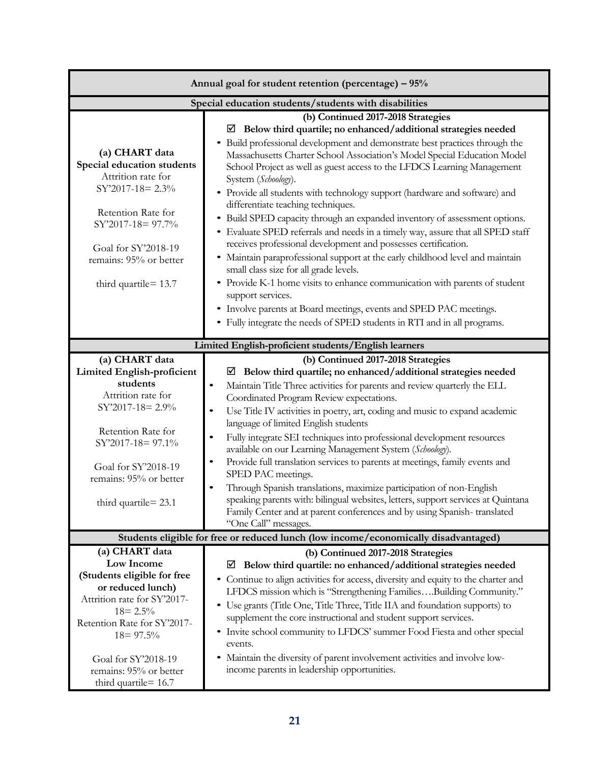| Annual goal for student retention (percentage) - 95%                                                                                                                                                                                                     |                                                                                                                                                                                                                                                                                                                                                                                                                                                                                                                                                                                                                                                                                                                                                                                                                                                                                                                                                                                                                                                                                                                          |  |  |  |  |
|----------------------------------------------------------------------------------------------------------------------------------------------------------------------------------------------------------------------------------------------------------|--------------------------------------------------------------------------------------------------------------------------------------------------------------------------------------------------------------------------------------------------------------------------------------------------------------------------------------------------------------------------------------------------------------------------------------------------------------------------------------------------------------------------------------------------------------------------------------------------------------------------------------------------------------------------------------------------------------------------------------------------------------------------------------------------------------------------------------------------------------------------------------------------------------------------------------------------------------------------------------------------------------------------------------------------------------------------------------------------------------------------|--|--|--|--|
| Special education students/students with disabilities                                                                                                                                                                                                    |                                                                                                                                                                                                                                                                                                                                                                                                                                                                                                                                                                                                                                                                                                                                                                                                                                                                                                                                                                                                                                                                                                                          |  |  |  |  |
| (a) CHART data<br>Special education students<br>Attrition rate for<br>SY'2017-18= 2.3%<br>Retention Rate for<br>SY'2017-18= 97.7%<br>Goal for SY'2018-19<br>remains: 95% or better<br>third quartile= 13.7                                               | (b) Continued 2017-2018 Strategies<br>Below third quartile; no enhanced/additional strategies needed<br>⊻<br>Build professional development and demonstrate best practices through the<br>$\bullet$<br>Massachusetts Charter School Association's Model Special Education Model<br>School Project as well as guest access to the LFDCS Learning Management<br>System (Schoology).<br>• Provide all students with technology support (hardware and software) and<br>differentiate teaching techniques.<br>• Build SPED capacity through an expanded inventory of assessment options.<br>• Evaluate SPED referrals and needs in a timely way, assure that all SPED staff<br>receives professional development and possesses certification.<br>• Maintain paraprofessional support at the early childhood level and maintain<br>small class size for all grade levels.<br>• Provide K-1 home visits to enhance communication with parents of student<br>support services.<br>• Involve parents at Board meetings, events and SPED PAC meetings.<br>• Fully integrate the needs of SPED students in RTI and in all programs. |  |  |  |  |
|                                                                                                                                                                                                                                                          |                                                                                                                                                                                                                                                                                                                                                                                                                                                                                                                                                                                                                                                                                                                                                                                                                                                                                                                                                                                                                                                                                                                          |  |  |  |  |
| Limited English-proficient students/English learners                                                                                                                                                                                                     |                                                                                                                                                                                                                                                                                                                                                                                                                                                                                                                                                                                                                                                                                                                                                                                                                                                                                                                                                                                                                                                                                                                          |  |  |  |  |
| (a) CHART data<br><b>Limited English-proficient</b><br>students<br>Attrition rate for<br>$SY'2017-18=2.9\%$<br>Retention Rate for<br>SY'2017-18= 97.1%<br>Goal for SY'2018-19<br>remains: 95% or better<br>third quartile $= 23.1$                       | (b) Continued 2017-2018 Strategies<br>Below third quartile; no enhanced/additional strategies needed<br>⊻<br>Maintain Title Three activities for parents and review quarterly the ELL<br>$\bullet$<br>Coordinated Program Review expectations.<br>Use Title IV activities in poetry, art, coding and music to expand academic<br>$\bullet$<br>language of limited English students<br>Fully integrate SEI techniques into professional development resources<br>$\bullet$<br>available on our Learning Management System (Schoology).<br>Provide full translation services to parents at meetings, family events and<br>$\bullet$<br>SPED PAC meetings.<br>Through Spanish translations, maximize participation of non-English<br>$\bullet$<br>speaking parents with: bilingual websites, letters, support services at Quintana<br>Family Center and at parent conferences and by using Spanish-translated<br>"One Call" messages.                                                                                                                                                                                       |  |  |  |  |
|                                                                                                                                                                                                                                                          | Students eligible for free or reduced lunch (low income/economically disadvantaged)                                                                                                                                                                                                                                                                                                                                                                                                                                                                                                                                                                                                                                                                                                                                                                                                                                                                                                                                                                                                                                      |  |  |  |  |
| (a) CHART data<br>Low Income<br>(Students eligible for free<br>or reduced lunch)<br>Attrition rate for SY'2017-<br>$18 = 2.5\%$<br>Retention Rate for SY'2017-<br>$18 = 97.5\%$<br>Goal for SY'2018-19<br>remains: 95% or better<br>third quartile= 16.7 | (b) Continued 2017-2018 Strategies<br>Below third quartile: no enhanced/additional strategies needed<br>⊻<br>• Continue to align activities for access, diversity and equity to the charter and<br>LFDCS mission which is "Strengthening FamiliesBuilding Community."<br>• Use grants (Title One, Title Three, Title IIA and foundation supports) to<br>supplement the core instructional and student support services.<br>• Invite school community to LFDCS' summer Food Fiesta and other special<br>events.<br>Maintain the diversity of parent involvement activities and involve low-<br>٠<br>income parents in leadership opportunities.                                                                                                                                                                                                                                                                                                                                                                                                                                                                           |  |  |  |  |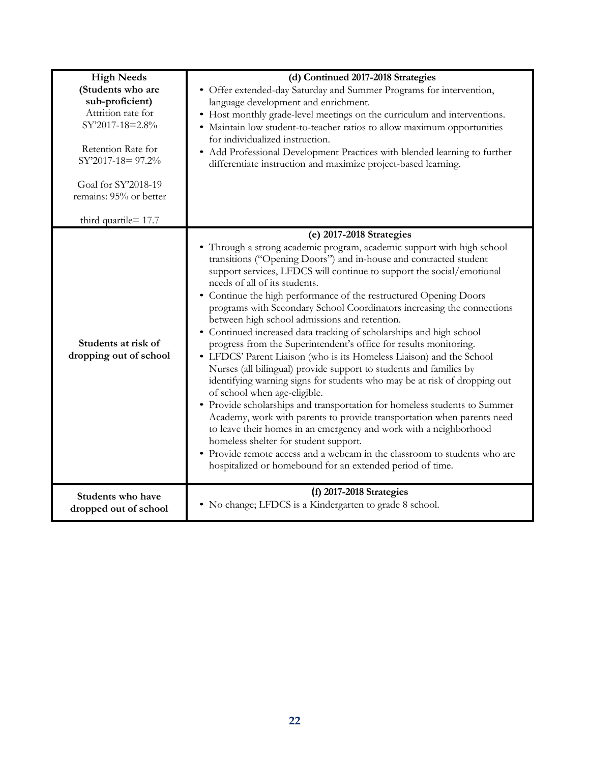| <b>High Needs</b>                             | (d) Continued 2017-2018 Strategies                                                                        |  |  |  |  |
|-----------------------------------------------|-----------------------------------------------------------------------------------------------------------|--|--|--|--|
| (Students who are                             | • Offer extended-day Saturday and Summer Programs for intervention,                                       |  |  |  |  |
| sub-proficient)                               | language development and enrichment.                                                                      |  |  |  |  |
| Attrition rate for                            | • Host monthly grade-level meetings on the curriculum and interventions.                                  |  |  |  |  |
| SY'2017-18=2.8%                               | • Maintain low student-to-teacher ratios to allow maximum opportunities                                   |  |  |  |  |
|                                               | for individualized instruction.                                                                           |  |  |  |  |
| Retention Rate for                            | • Add Professional Development Practices with blended learning to further                                 |  |  |  |  |
| SY'2017-18= 97.2%                             | differentiate instruction and maximize project-based learning.                                            |  |  |  |  |
| Goal for SY'2018-19<br>remains: 95% or better |                                                                                                           |  |  |  |  |
| third quartile = 17.7                         |                                                                                                           |  |  |  |  |
|                                               | (e) 2017-2018 Strategies                                                                                  |  |  |  |  |
|                                               | • Through a strong academic program, academic support with high school                                    |  |  |  |  |
|                                               | transitions ("Opening Doors") and in-house and contracted student                                         |  |  |  |  |
|                                               | support services, LFDCS will continue to support the social/emotional<br>needs of all of its students.    |  |  |  |  |
|                                               | • Continue the high performance of the restructured Opening Doors                                         |  |  |  |  |
|                                               | programs with Secondary School Coordinators increasing the connections                                    |  |  |  |  |
|                                               | between high school admissions and retention.                                                             |  |  |  |  |
|                                               | • Continued increased data tracking of scholarships and high school                                       |  |  |  |  |
| Students at risk of                           | progress from the Superintendent's office for results monitoring.                                         |  |  |  |  |
| dropping out of school                        | • LFDCS' Parent Liaison (who is its Homeless Liaison) and the School                                      |  |  |  |  |
|                                               | Nurses (all bilingual) provide support to students and families by                                        |  |  |  |  |
|                                               | identifying warning signs for students who may be at risk of dropping out<br>of school when age-eligible. |  |  |  |  |
|                                               | • Provide scholarships and transportation for homeless students to Summer                                 |  |  |  |  |
|                                               | Academy, work with parents to provide transportation when parents need                                    |  |  |  |  |
|                                               | to leave their homes in an emergency and work with a neighborhood                                         |  |  |  |  |
|                                               | homeless shelter for student support.                                                                     |  |  |  |  |
|                                               | • Provide remote access and a webcam in the classroom to students who are                                 |  |  |  |  |
|                                               | hospitalized or homebound for an extended period of time.                                                 |  |  |  |  |
| Students who have                             | (f) 2017-2018 Strategies                                                                                  |  |  |  |  |
| dropped out of school                         | • No change; LFDCS is a Kindergarten to grade 8 school.                                                   |  |  |  |  |
|                                               |                                                                                                           |  |  |  |  |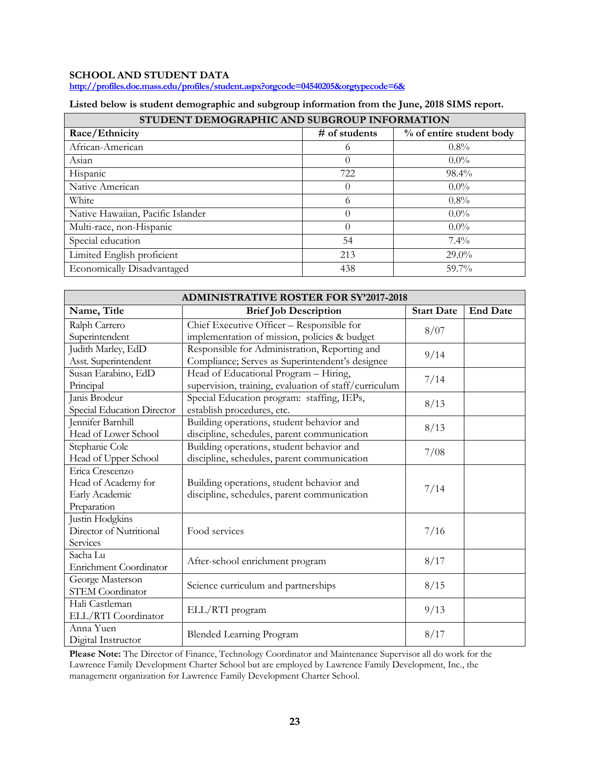# **SCHOOL AND STUDENT DATA**

**<http://profiles.doe.mass.edu/profiles/student.aspx?orgcode=04540205&orgtypecode=6&>**

| Listed below is student demographic and subgroup information from the June, 2018 SIMS report. |  |  |  |  |  |
|-----------------------------------------------------------------------------------------------|--|--|--|--|--|
|-----------------------------------------------------------------------------------------------|--|--|--|--|--|

| STUDENT DEMOGRAPHIC AND SUBGROUP INFORMATION |               |                          |  |  |  |  |
|----------------------------------------------|---------------|--------------------------|--|--|--|--|
| Race/Ethnicity                               | # of students | % of entire student body |  |  |  |  |
| African-American                             | $^{(1)}$      | $0.8\%$                  |  |  |  |  |
| Asian                                        |               | $0.0\%$                  |  |  |  |  |
| Hispanic                                     | 722           | $98.4\%$                 |  |  |  |  |
| Native American                              |               | $0.0\%$                  |  |  |  |  |
| White                                        | 6             | $0.8\%$                  |  |  |  |  |
| Native Hawaiian, Pacific Islander            |               | $0.0\%$                  |  |  |  |  |
| Multi-race, non-Hispanic                     |               | $0.0\%$                  |  |  |  |  |
| Special education                            | 54            | $7.4\%$                  |  |  |  |  |
| Limited English proficient                   | 213           | $29.0\%$                 |  |  |  |  |
| Economically Disadvantaged                   | 438           | 59.7%                    |  |  |  |  |

| <b>ADMINISTRATIVE ROSTER FOR SY'2017-2018</b> |                                                       |                   |                 |  |  |  |
|-----------------------------------------------|-------------------------------------------------------|-------------------|-----------------|--|--|--|
| Name, Title                                   | <b>Brief Job Description</b>                          | <b>Start Date</b> | <b>End Date</b> |  |  |  |
| Ralph Carrero                                 | Chief Executive Officer - Responsible for             |                   |                 |  |  |  |
| Superintendent                                | implementation of mission, policies & budget          | 8/07              |                 |  |  |  |
| Judith Marley, EdD                            | Responsible for Administration, Reporting and         | 9/14              |                 |  |  |  |
| Asst. Superintendent                          | Compliance; Serves as Superintendent's designee       |                   |                 |  |  |  |
| Susan Earabino, EdD                           | Head of Educational Program - Hiring,                 | 7/14              |                 |  |  |  |
| Principal                                     | supervision, training, evaluation of staff/curriculum |                   |                 |  |  |  |
| Janis Brodeur                                 | Special Education program: staffing, IEPs,            | 8/13              |                 |  |  |  |
| Special Education Director                    | establish procedures, etc.                            |                   |                 |  |  |  |
| Jennifer Barnhill                             | Building operations, student behavior and             | 8/13              |                 |  |  |  |
| Head of Lower School                          | discipline, schedules, parent communication           |                   |                 |  |  |  |
| Stephanie Cole                                | Building operations, student behavior and             | 7/08              |                 |  |  |  |
| Head of Upper School                          | discipline, schedules, parent communication           |                   |                 |  |  |  |
| Erica Crescenzo                               |                                                       |                   |                 |  |  |  |
| Head of Academy for                           | Building operations, student behavior and             | 7/14              |                 |  |  |  |
| Early Academic                                | discipline, schedules, parent communication           |                   |                 |  |  |  |
| Preparation                                   |                                                       |                   |                 |  |  |  |
| Justin Hodgkins                               |                                                       |                   |                 |  |  |  |
| Director of Nutritional                       | Food services                                         | 7/16              |                 |  |  |  |
| Services                                      |                                                       |                   |                 |  |  |  |
| Sacha Lu                                      | After-school enrichment program                       | 8/17              |                 |  |  |  |
| Enrichment Coordinator                        |                                                       |                   |                 |  |  |  |
| George Masterson                              | Science curriculum and partnerships                   | 8/15              |                 |  |  |  |
| STEM Coordinator                              |                                                       |                   |                 |  |  |  |
| Hali Castleman                                | ELL/RTI program                                       | 9/13              |                 |  |  |  |
| ELL/RTI Coordinator                           |                                                       |                   |                 |  |  |  |
| Anna Yuen                                     | <b>Blended Learning Program</b>                       | 8/17              |                 |  |  |  |
| Digital Instructor                            |                                                       |                   |                 |  |  |  |

**Please Note:** The Director of Finance, Technology Coordinator and Maintenance Supervisor all do work for the Lawrence Family Development Charter School but are employed by Lawrence Family Development, Inc., the management organization for Lawrence Family Development Charter School.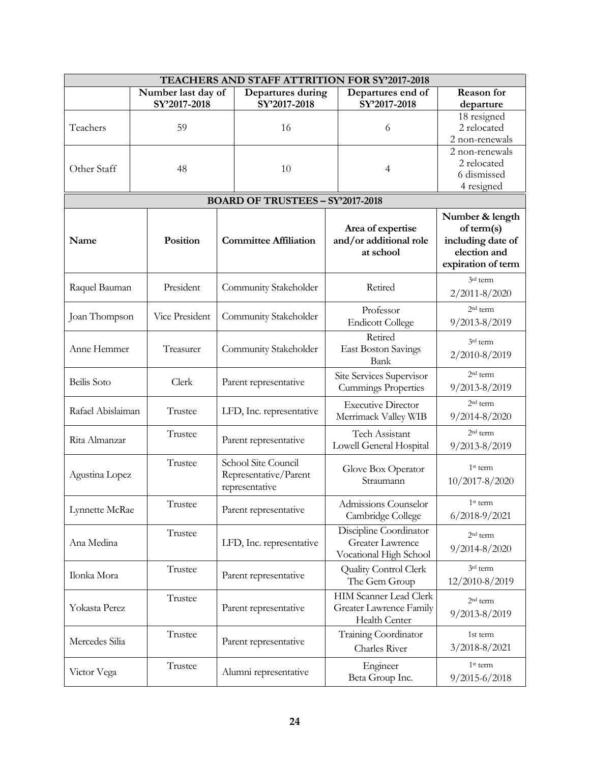| TEACHERS AND STAFF ATTRITION FOR SY'2017-2018 |                                  |                |              |                                         |                      |                                                   |                                   |
|-----------------------------------------------|----------------------------------|----------------|--------------|-----------------------------------------|----------------------|---------------------------------------------------|-----------------------------------|
|                                               | Number last day of               |                |              | Departures during                       |                      | Departures end of                                 | <b>Reason</b> for                 |
|                                               |                                  | SY'2017-2018   | SY'2017-2018 |                                         |                      | SY'2017-2018                                      | departure                         |
|                                               |                                  |                |              |                                         |                      |                                                   | 18 resigned                       |
| Teachers                                      | 59                               |                |              | 16                                      |                      | 6                                                 | 2 relocated                       |
|                                               |                                  |                |              |                                         |                      |                                                   | 2 non-renewals                    |
|                                               |                                  |                |              |                                         |                      |                                                   | 2 non-renewals                    |
| Other Staff                                   |                                  | 48             |              | 10                                      |                      | $\overline{4}$                                    | 2 relocated                       |
|                                               |                                  |                |              |                                         |                      |                                                   | 6 dismissed                       |
|                                               |                                  |                |              |                                         |                      |                                                   | 4 resigned                        |
|                                               |                                  |                |              | <b>BOARD OF TRUSTEES - SY'2017-2018</b> |                      |                                                   |                                   |
|                                               |                                  |                |              |                                         |                      | Area of expertise                                 | Number & length<br>of term(s)     |
| Name                                          |                                  | Position       |              | <b>Committee Affiliation</b>            |                      | and/or additional role<br>at school               | including date of<br>election and |
|                                               |                                  |                |              |                                         |                      |                                                   | expiration of term                |
|                                               |                                  |                |              |                                         |                      |                                                   | 3rd term                          |
| Raquel Bauman                                 |                                  | President      |              | Community Stakeholder                   |                      | Retired                                           | 2/2011-8/2020                     |
|                                               |                                  |                |              |                                         |                      | Professor                                         | 2 <sup>nd</sup> term              |
| Joan Thompson                                 |                                  | Vice President |              | Community Stakeholder                   |                      | <b>Endicott College</b>                           | $9/2013 - 8/2019$                 |
|                                               |                                  |                |              |                                         |                      |                                                   |                                   |
| Anne Hemmer                                   |                                  | Treasurer      |              |                                         |                      | Retired                                           | 3rd term                          |
|                                               |                                  |                |              | Community Stakeholder                   |                      | <b>East Boston Savings</b><br>Bank                | 2/2010-8/2019                     |
|                                               |                                  |                |              |                                         |                      |                                                   | 2 <sup>nd</sup> term              |
| Beilis Soto                                   |                                  | Clerk          |              | Parent representative                   |                      | Site Services Supervisor                          |                                   |
|                                               |                                  |                |              |                                         |                      | <b>Cummings Properties</b>                        | $9/2013 - 8/2019$                 |
| Rafael Abislaiman                             |                                  | Trustee        |              | LFD, Inc. representative                |                      | <b>Executive Director</b>                         | $2nd$ term                        |
|                                               |                                  |                |              |                                         |                      | Merrimack Valley WIB                              | $9/2014 - 8/2020$                 |
|                                               |                                  | Trustee        |              |                                         |                      | Tech Assistant                                    | 2 <sup>nd</sup> term              |
| Rita Almanzar                                 |                                  |                |              | Parent representative                   |                      | Lowell General Hospital                           | 9/2013-8/2019                     |
|                                               |                                  | Trustee        |              | School Site Council                     |                      |                                                   |                                   |
| Agustina Lopez                                |                                  |                |              | Representative/Parent                   |                      | Glove Box Operator                                | 1 <sup>st</sup> term              |
|                                               |                                  |                |              | representative                          |                      | Straumann                                         | $10/2017 - 8/2020$                |
|                                               |                                  |                |              |                                         | Admissions Counselor | $1st$ term                                        |                                   |
| Lynnette McRae                                | Trustee<br>Parent representative |                |              | Cambridge College                       | $6/2018 - 9/2021$    |                                                   |                                   |
|                                               |                                  |                |              |                                         |                      |                                                   |                                   |
|                                               |                                  | Trustee        |              | LFD, Inc. representative                |                      | Discipline Coordinator<br><b>Greater Lawrence</b> | $2nd$ term                        |
| Ana Medina                                    |                                  |                |              |                                         |                      | Vocational High School                            | 9/2014-8/2020                     |
|                                               |                                  |                |              |                                         |                      |                                                   | 3rd term                          |
| Ilonka Mora                                   |                                  | Trustee        |              | Parent representative                   |                      | Quality Control Clerk                             |                                   |
|                                               |                                  |                |              |                                         |                      | The Gem Group                                     | 12/2010-8/2019                    |
|                                               |                                  | Trustee        |              |                                         |                      | <b>HIM Scanner Lead Clerk</b>                     | 2 <sup>nd</sup> term              |
| Yokasta Perez                                 |                                  |                |              | Parent representative                   |                      | Greater Lawrence Family                           | 9/2013-8/2019                     |
|                                               |                                  |                |              |                                         |                      | Health Center                                     |                                   |
| Mercedes Silia                                |                                  | Trustee        |              | Parent representative                   |                      | Training Coordinator                              | 1st term                          |
|                                               |                                  |                |              |                                         |                      | Charles River                                     | 3/2018-8/2021                     |
|                                               |                                  | Trustee        |              |                                         |                      | Engineer                                          | 1 <sup>st</sup> term              |
| Victor Vega                                   |                                  |                |              | Alumni representative                   |                      | Beta Group Inc.                                   | 9/2015-6/2018                     |